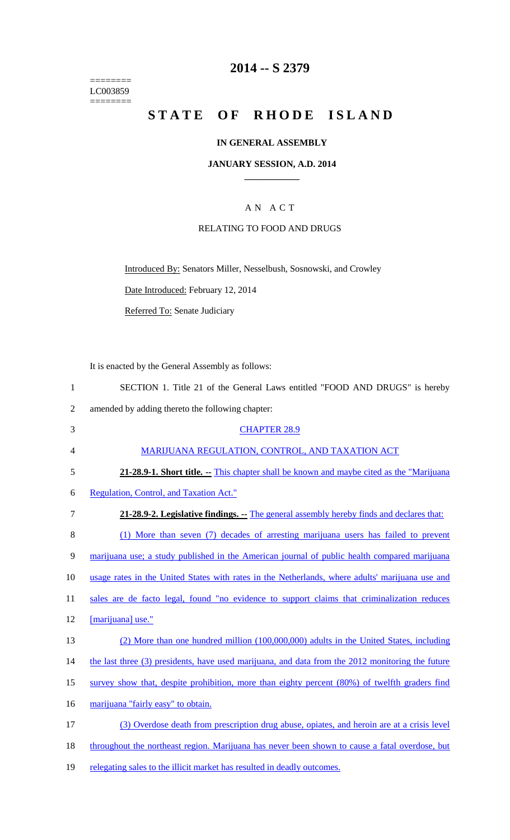======== LC003859 ========

## **2014 -- S 2379**

# **STATE OF RHODE ISLAND**

#### **IN GENERAL ASSEMBLY**

#### **JANUARY SESSION, A.D. 2014 \_\_\_\_\_\_\_\_\_\_\_\_**

## A N A C T

#### RELATING TO FOOD AND DRUGS

Introduced By: Senators Miller, Nesselbush, Sosnowski, and Crowley

Date Introduced: February 12, 2014

Referred To: Senate Judiciary

It is enacted by the General Assembly as follows:

| SECTION 1. Title 21 of the General Laws entitled "FOOD AND DRUGS" is hereby |
|-----------------------------------------------------------------------------|
| amended by adding thereto the following chapter:                            |

| 3              | <b>CHAPTER 28.9</b>                                                                       |
|----------------|-------------------------------------------------------------------------------------------|
| $\overline{4}$ | MARIJUANA REGULATION, CONTROL, AND TAXATION ACT                                           |
| 5              | 21-28.9-1. Short title. -- This chapter shall be known and maybe cited as the "Marijuana" |
|                |                                                                                           |

- 6 Regulation, Control, and Taxation Act."
- 7 **21-28.9-2. Legislative findings. --** The general assembly hereby finds and declares that:

8 (1) More than seven (7) decades of arresting marijuana users has failed to prevent

9 marijuana use; a study published in the American journal of public health compared marijuana

10 usage rates in the United States with rates in the Netherlands, where adults' marijuana use and

11 sales are de facto legal, found "no evidence to support claims that criminalization reduces

- 12 [marijuana] use."
- 13 (2) More than one hundred million (100,000,000) adults in the United States, including
- 14 the last three (3) presidents, have used marijuana, and data from the 2012 monitoring the future
- 15 survey show that, despite prohibition, more than eighty percent (80%) of twelfth graders find
- 16 marijuana "fairly easy" to obtain.

17 (3) Overdose death from prescription drug abuse, opiates, and heroin are at a crisis level 18 throughout the northeast region. Marijuana has never been shown to cause a fatal overdose, but 19 relegating sales to the illicit market has resulted in deadly outcomes.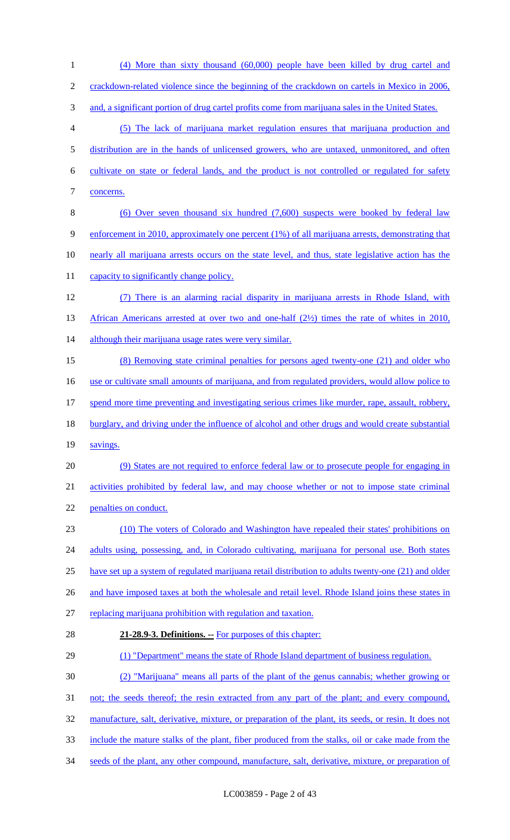(4) More than sixty thousand (60,000) people have been killed by drug cartel and 2 crackdown-related violence since the beginning of the crackdown on cartels in Mexico in 2006, 3 and, a significant portion of drug cartel profits come from marijuana sales in the United States. (5) The lack of marijuana market regulation ensures that marijuana production and distribution are in the hands of unlicensed growers, who are untaxed, unmonitored, and often cultivate on state or federal lands, and the product is not controlled or regulated for safety concerns. (6) Over seven thousand six hundred (7,600) suspects were booked by federal law enforcement in 2010, approximately one percent (1%) of all marijuana arrests, demonstrating that nearly all marijuana arrests occurs on the state level, and thus, state legislative action has the 11 capacity to significantly change policy. (7) There is an alarming racial disparity in marijuana arrests in Rhode Island, with 13 African Americans arrested at over two and one-half (2½) times the rate of whites in 2010, 14 although their marijuana usage rates were very similar. (8) Removing state criminal penalties for persons aged twenty-one (21) and older who use or cultivate small amounts of marijuana, and from regulated providers, would allow police to 17 spend more time preventing and investigating serious crimes like murder, rape, assault, robbery, 18 burglary, and driving under the influence of alcohol and other drugs and would create substantial 19 savings. (9) States are not required to enforce federal law or to prosecute people for engaging in activities prohibited by federal law, and may choose whether or not to impose state criminal penalties on conduct. (10) The voters of Colorado and Washington have repealed their states' prohibitions on 24 adults using, possessing, and, in Colorado cultivating, marijuana for personal use. Both states have set up a system of regulated marijuana retail distribution to adults twenty-one (21) and older 26 and have imposed taxes at both the wholesale and retail level. Rhode Island joins these states in replacing marijuana prohibition with regulation and taxation. **21-28.9-3. Definitions. --** For purposes of this chapter: 29 (1) "Department" means the state of Rhode Island department of business regulation. (2) "Marijuana" means all parts of the plant of the genus cannabis; whether growing or 31 not; the seeds thereof; the resin extracted from any part of the plant; and every compound, manufacture, salt, derivative, mixture, or preparation of the plant, its seeds, or resin. It does not include the mature stalks of the plant, fiber produced from the stalks, oil or cake made from the 34 seeds of the plant, any other compound, manufacture, salt, derivative, mixture, or preparation of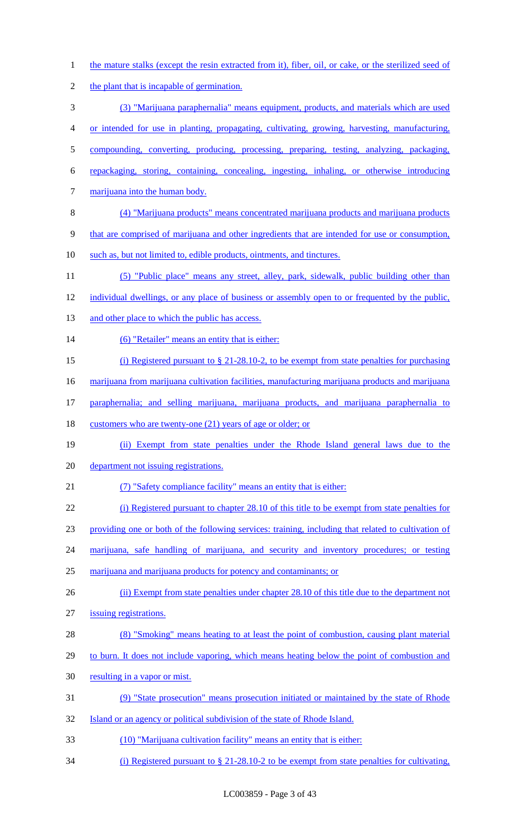- 1 the mature stalks (except the resin extracted from it), fiber, oil, or cake, or the sterilized seed of
- 2 the plant that is incapable of germination.
- (3) "Marijuana paraphernalia" means equipment, products, and materials which are used
- or intended for use in planting, propagating, cultivating, growing, harvesting, manufacturing,
- compounding, converting, producing, processing, preparing, testing, analyzing, packaging,
- repackaging, storing, containing, concealing, ingesting, inhaling, or otherwise introducing
- 7 marijuana into the human body.
- (4) "Marijuana products" means concentrated marijuana products and marijuana products
- that are comprised of marijuana and other ingredients that are intended for use or consumption,
- such as, but not limited to, edible products, ointments, and tinctures.
- (5) "Public place" means any street, alley, park, sidewalk, public building other than
- 12 individual dwellings, or any place of business or assembly open to or frequented by the public,
- 13 and other place to which the public has access.
- 14 (6) "Retailer" means an entity that is either:
- (i) Registered pursuant to § 21-28.10-2, to be exempt from state penalties for purchasing
- 16 marijuana from marijuana cultivation facilities, manufacturing marijuana products and marijuana
- paraphernalia; and selling marijuana, marijuana products, and marijuana paraphernalia to
- 18 customers who are twenty-one (21) years of age or older; or
- (ii) Exempt from state penalties under the Rhode Island general laws due to the
- department not issuing registrations.
- (7) "Safety compliance facility" means an entity that is either:
- (i) Registered pursuant to chapter 28.10 of this title to be exempt from state penalties for
- providing one or both of the following services: training, including that related to cultivation of
- marijuana, safe handling of marijuana, and security and inventory procedures; or testing
- marijuana and marijuana products for potency and contaminants; or
- 26 (ii) Exempt from state penalties under chapter 28.10 of this title due to the department not
- issuing registrations.
- (8) "Smoking" means heating to at least the point of combustion, causing plant material
- 29 to burn. It does not include vaporing, which means heating below the point of combustion and
- 30 resulting in a vapor or mist.
- (9) "State prosecution" means prosecution initiated or maintained by the state of Rhode
- 32 Island or an agency or political subdivision of the state of Rhode Island.
- (10) "Marijuana cultivation facility" means an entity that is either:
- (i) Registered pursuant to § 21-28.10-2 to be exempt from state penalties for cultivating,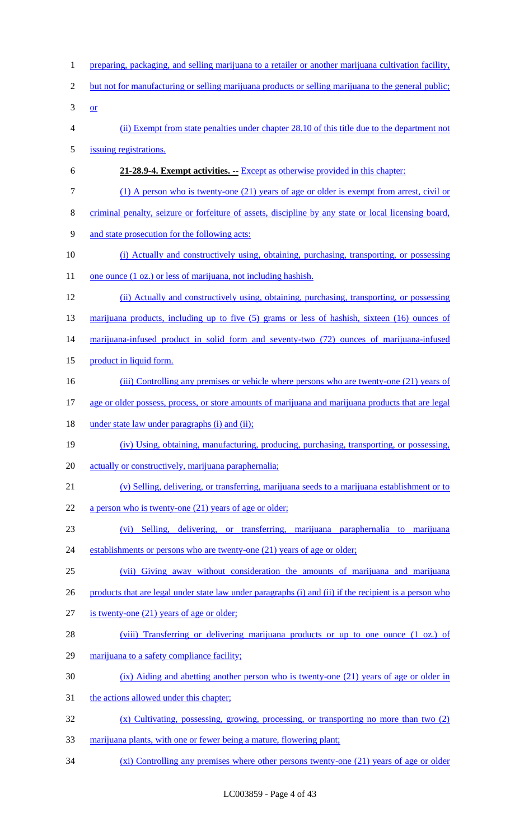1 preparing, packaging, and selling marijuana to a retailer or another marijuana cultivation facility, but not for manufacturing or selling marijuana products or selling marijuana to the general public;  $3 \quad or \quad$  (ii) Exempt from state penalties under chapter 28.10 of this title due to the department not issuing registrations. **21-28.9-4. Exempt activities. --** Except as otherwise provided in this chapter: (1) A person who is twenty-one (21) years of age or older is exempt from arrest, civil or criminal penalty, seizure or forfeiture of assets, discipline by any state or local licensing board, and state prosecution for the following acts: (i) Actually and constructively using, obtaining, purchasing, transporting, or possessing 11 one ounce (1 oz.) or less of marijuana, not including hashish. (ii) Actually and constructively using, obtaining, purchasing, transporting, or possessing marijuana products, including up to five (5) grams or less of hashish, sixteen (16) ounces of 14 marijuana-infused product in solid form and seventy-two (72) ounces of marijuana-infused 15 product in liquid form. 16 (iii) Controlling any premises or vehicle where persons who are twenty-one (21) years of age or older possess, process, or store amounts of marijuana and marijuana products that are legal 18 under state law under paragraphs (i) and (ii); (iv) Using, obtaining, manufacturing, producing, purchasing, transporting, or possessing, 20 actually or constructively, marijuana paraphernalia; (v) Selling, delivering, or transferring, marijuana seeds to a marijuana establishment or to 22 a person who is twenty-one (21) years of age or older; (vi) Selling, delivering, or transferring, marijuana paraphernalia to marijuana 24 establishments or persons who are twenty-one (21) years of age or older; (vii) Giving away without consideration the amounts of marijuana and marijuana 26 products that are legal under state law under paragraphs (i) and (ii) if the recipient is a person who is twenty-one (21) years of age or older; (viii) Transferring or delivering marijuana products or up to one ounce (1 oz.) of marijuana to a safety compliance facility; (ix) Aiding and abetting another person who is twenty-one (21) years of age or older in 31 the actions allowed under this chapter; (x) Cultivating, possessing, growing, processing, or transporting no more than two (2) marijuana plants, with one or fewer being a mature, flowering plant; (xi) Controlling any premises where other persons twenty-one (21) years of age or older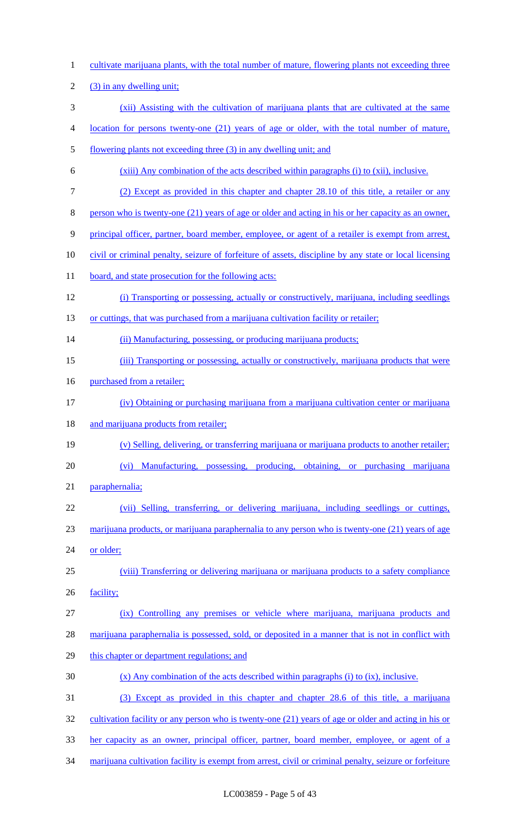| $\mathbf{1}$   | cultivate marijuana plants, with the total number of mature, flowering plants not exceeding three      |
|----------------|--------------------------------------------------------------------------------------------------------|
| $\overline{2}$ | (3) in any dwelling unit;                                                                              |
| 3              | (xii) Assisting with the cultivation of marijuana plants that are cultivated at the same               |
| $\overline{4}$ | location for persons twenty-one (21) years of age or older, with the total number of mature,           |
| $\mathfrak{S}$ | flowering plants not exceeding three (3) in any dwelling unit; and                                     |
| 6              | (xiii) Any combination of the acts described within paragraphs (i) to (xii), inclusive.                |
| $\tau$         | (2) Except as provided in this chapter and chapter 28.10 of this title, a retailer or any              |
| $8\,$          | person who is twenty-one (21) years of age or older and acting in his or her capacity as an owner,     |
| 9              | principal officer, partner, board member, employee, or agent of a retailer is exempt from arrest,      |
| 10             | civil or criminal penalty, seizure of forfeiture of assets, discipline by any state or local licensing |
| 11             | board, and state prosecution for the following acts:                                                   |
| 12             | (i) Transporting or possessing, actually or constructively, marijuana, including seedlings             |
| 13             | or cuttings, that was purchased from a marijuana cultivation facility or retailer;                     |
| 14             | (ii) Manufacturing, possessing, or producing marijuana products;                                       |
| 15             | (iii) Transporting or possessing, actually or constructively, marijuana products that were             |
| 16             | purchased from a retailer;                                                                             |
| 17             | (iv) Obtaining or purchasing marijuana from a marijuana cultivation center or marijuana                |
| 18             | and marijuana products from retailer;                                                                  |
| 19             | (v) Selling, delivering, or transferring marijuana or marijuana products to another retailer;          |
| 20             | Manufacturing, possessing, producing, obtaining, or purchasing marijuana<br>(vi)                       |
| 21             | paraphernalia;                                                                                         |
| 22             | (vii) Selling, transferring, or delivering marijuana, including seedlings or cuttings,                 |
| 23             | marijuana products, or marijuana paraphernalia to any person who is twenty-one (21) years of age       |
| 24             | or older;                                                                                              |
| 25             | (viii) Transferring or delivering marijuana or marijuana products to a safety compliance               |
| 26             | facility;                                                                                              |
| 27             | (ix) Controlling any premises or vehicle where marijuana, marijuana products and                       |
| 28             | marijuana paraphernalia is possessed, sold, or deposited in a manner that is not in conflict with      |
| 29             | this chapter or department regulations; and                                                            |
| 30             | $(x)$ Any combination of the acts described within paragraphs (i) to (ix), inclusive.                  |
| 31             | (3) Except as provided in this chapter and chapter 28.6 of this title, a marijuana                     |
| 32             | cultivation facility or any person who is twenty-one $(21)$ years of age or older and acting in his or |
| 33             | her capacity as an owner, principal officer, partner, board member, employee, or agent of a            |
| 34             | marijuana cultivation facility is exempt from arrest, civil or criminal penalty, seizure or forfeiture |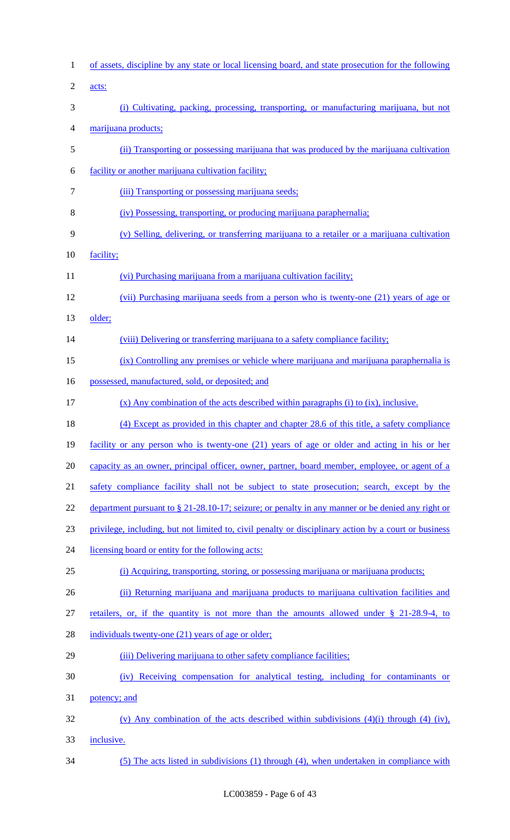| $\mathbf{1}$   | of assets, discipline by any state or local licensing board, and state prosecution for the following  |
|----------------|-------------------------------------------------------------------------------------------------------|
| $\overline{2}$ | acts:                                                                                                 |
| 3              | (i) Cultivating, packing, processing, transporting, or manufacturing marijuana, but not               |
| 4              | marijuana products;                                                                                   |
| 5              | (ii) Transporting or possessing marijuana that was produced by the marijuana cultivation              |
| 6              | facility or another marijuana cultivation facility;                                                   |
| 7              | (iii) Transporting or possessing marijuana seeds;                                                     |
| 8              | (iv) Possessing, transporting, or producing marijuana paraphernalia;                                  |
| 9              | (v) Selling, delivering, or transferring marijuana to a retailer or a marijuana cultivation           |
| 10             | facility;                                                                                             |
| 11             | (vi) Purchasing marijuana from a marijuana cultivation facility;                                      |
| 12             | (vii) Purchasing marijuana seeds from a person who is twenty-one (21) years of age or                 |
| 13             | older;                                                                                                |
| 14             | (viii) Delivering or transferring marijuana to a safety compliance facility;                          |
| 15             | (ix) Controlling any premises or vehicle where marijuana and marijuana paraphernalia is               |
| 16             | possessed, manufactured, sold, or deposited; and                                                      |
| 17             | $(x)$ Any combination of the acts described within paragraphs (i) to (ix), inclusive.                 |
| 18             | (4) Except as provided in this chapter and chapter 28.6 of this title, a safety compliance            |
| 19             | facility or any person who is twenty-one (21) years of age or older and acting in his or her          |
| 20             | capacity as an owner, principal officer, owner, partner, board member, employee, or agent of a        |
| 21             | safety compliance facility shall not be subject to state prosecution; search, except by the           |
| 22             | department pursuant to $\S 21-28.10-17$ ; seizure; or penalty in any manner or be denied any right or |
| 23             | privilege, including, but not limited to, civil penalty or disciplinary action by a court or business |
| 24             | licensing board or entity for the following acts:                                                     |
| 25             | (i) Acquiring, transporting, storing, or possessing marijuana or marijuana products;                  |
| 26             | (ii) Returning marijuana and marijuana products to marijuana cultivation facilities and               |
| 27             | retailers, or, if the quantity is not more than the amounts allowed under $\S$ 21-28.9-4, to          |
| 28             | individuals twenty-one (21) years of age or older;                                                    |
| 29             | (iii) Delivering marijuana to other safety compliance facilities;                                     |
| 30             | (iv) Receiving compensation for analytical testing, including for contaminants or                     |
| 31             | potency; and                                                                                          |
| 32             | (v) Any combination of the acts described within subdivisions $(4)(i)$ through $(4)$ (iv),            |
| 33             | inclusive.                                                                                            |
| 34             | (5) The acts listed in subdivisions (1) through (4), when undertaken in compliance with               |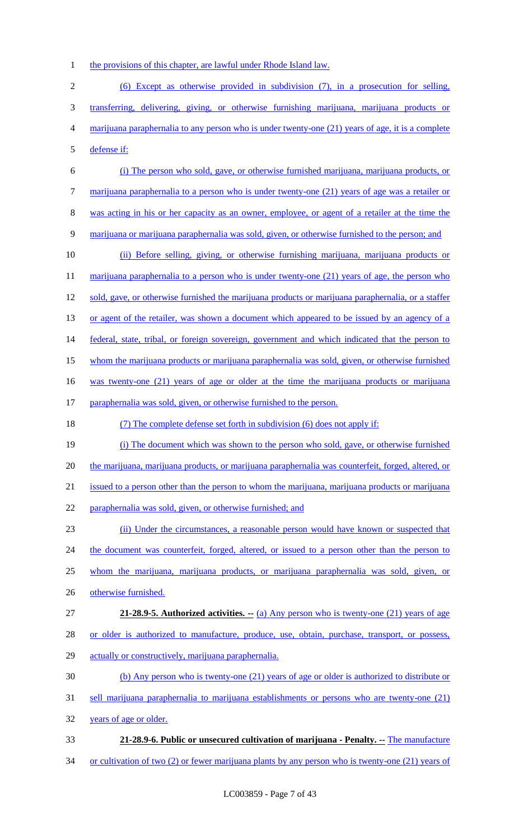1 the provisions of this chapter, are lawful under Rhode Island law.

 (6) Except as otherwise provided in subdivision (7), in a prosecution for selling, transferring, delivering, giving, or otherwise furnishing marijuana, marijuana products or marijuana paraphernalia to any person who is under twenty-one (21) years of age, it is a complete defense if:

 (i) The person who sold, gave, or otherwise furnished marijuana, marijuana products, or marijuana paraphernalia to a person who is under twenty-one (21) years of age was a retailer or was acting in his or her capacity as an owner, employee, or agent of a retailer at the time the

marijuana or marijuana paraphernalia was sold, given, or otherwise furnished to the person; and

 (ii) Before selling, giving, or otherwise furnishing marijuana, marijuana products or 11 marijuana paraphernalia to a person who is under twenty-one (21) years of age, the person who sold, gave, or otherwise furnished the marijuana products or marijuana paraphernalia, or a staffer 13 or agent of the retailer, was shown a document which appeared to be issued by an agency of a 14 federal, state, tribal, or foreign sovereign, government and which indicated that the person to whom the marijuana products or marijuana paraphernalia was sold, given, or otherwise furnished was twenty-one (21) years of age or older at the time the marijuana products or marijuana paraphernalia was sold, given, or otherwise furnished to the person.

(7) The complete defense set forth in subdivision (6) does not apply if:

 (i) The document which was shown to the person who sold, gave, or otherwise furnished 20 the marijuana, marijuana products, or marijuana paraphernalia was counterfeit, forged, altered, or issued to a person other than the person to whom the marijuana, marijuana products or marijuana

paraphernalia was sold, given, or otherwise furnished; and

 (ii) Under the circumstances, a reasonable person would have known or suspected that 24 the document was counterfeit, forged, altered, or issued to a person other than the person to whom the marijuana, marijuana products, or marijuana paraphernalia was sold, given, or otherwise furnished.

**21-28.9-5. Authorized activities. --** (a) Any person who is twenty-one (21) years of age

28 or older is authorized to manufacture, produce, use, obtain, purchase, transport, or possess,

- actually or constructively, marijuana paraphernalia.
- (b) Any person who is twenty-one (21) years of age or older is authorized to distribute or
- sell marijuana paraphernalia to marijuana establishments or persons who are twenty-one (21)

years of age or older.

- **21-28.9-6. Public or unsecured cultivation of marijuana - Penalty. --** The manufacture
- 34 or cultivation of two (2) or fewer marijuana plants by any person who is twenty-one (21) years of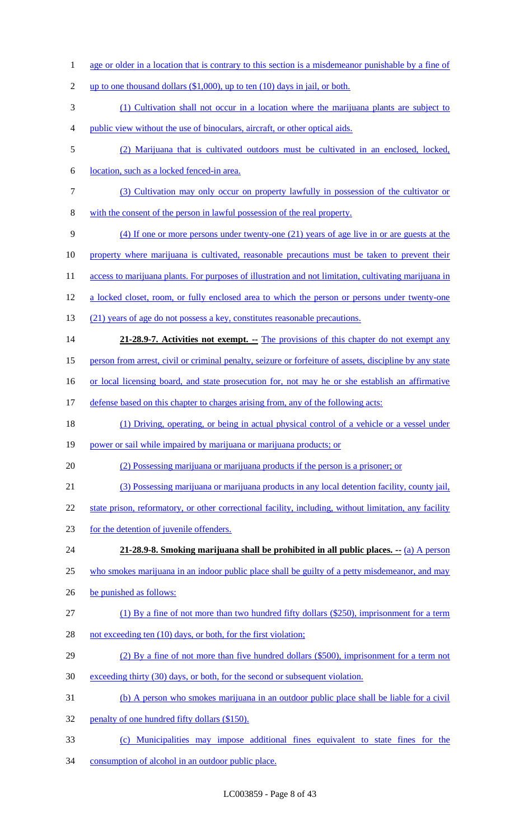1 age or older in a location that is contrary to this section is a misdemeanor punishable by a fine of 2 up to one thousand dollars  $(\$1,000)$ , up to ten  $(10)$  days in jail, or both. (1) Cultivation shall not occur in a location where the marijuana plants are subject to public view without the use of binoculars, aircraft, or other optical aids. (2) Marijuana that is cultivated outdoors must be cultivated in an enclosed, locked, location, such as a locked fenced-in area. (3) Cultivation may only occur on property lawfully in possession of the cultivator or with the consent of the person in lawful possession of the real property. (4) If one or more persons under twenty-one (21) years of age live in or are guests at the property where marijuana is cultivated, reasonable precautions must be taken to prevent their 11 access to marijuana plants. For purposes of illustration and not limitation, cultivating marijuana in a locked closet, room, or fully enclosed area to which the person or persons under twenty-one (21) years of age do not possess a key, constitutes reasonable precautions. **21-28.9-7. Activities not exempt.** -- The provisions of this chapter do not exempt any person from arrest, civil or criminal penalty, seizure or forfeiture of assets, discipline by any state 16 or local licensing board, and state prosecution for, not may he or she establish an affirmative 17 defense based on this chapter to charges arising from, any of the following acts: (1) Driving, operating, or being in actual physical control of a vehicle or a vessel under 19 power or sail while impaired by marijuana or marijuana products; or (2) Possessing marijuana or marijuana products if the person is a prisoner; or (3) Possessing marijuana or marijuana products in any local detention facility, county jail, 22 state prison, reformatory, or other correctional facility, including, without limitation, any facility for the detention of juvenile offenders. **21-28.9-8. Smoking marijuana shall be prohibited in all public places. --** (a) A person 25 who smokes marijuana in an indoor public place shall be guilty of a petty misdemeanor, and may be punished as follows: (1) By a fine of not more than two hundred fifty dollars (\$250), imprisonment for a term 28 not exceeding ten (10) days, or both, for the first violation; (2) By a fine of not more than five hundred dollars (\$500), imprisonment for a term not exceeding thirty (30) days, or both, for the second or subsequent violation. (b) A person who smokes marijuana in an outdoor public place shall be liable for a civil 32 penalty of one hundred fifty dollars (\$150). (c) Municipalities may impose additional fines equivalent to state fines for the consumption of alcohol in an outdoor public place.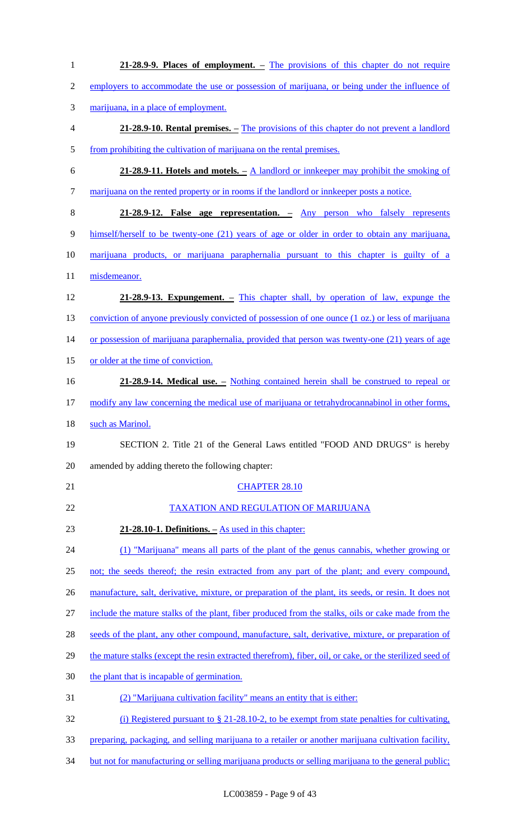| $\mathbf{1}$   | 21-28.9-9. Places of employment. – The provisions of this chapter do not require                         |
|----------------|----------------------------------------------------------------------------------------------------------|
| $\overline{2}$ | employers to accommodate the use or possession of marijuana, or being under the influence of             |
| 3              | marijuana, in a place of employment.                                                                     |
| $\overline{4}$ | 21-28.9-10. Rental premises. – The provisions of this chapter do not prevent a landlord                  |
| $\mathfrak{S}$ | from prohibiting the cultivation of marijuana on the rental premises.                                    |
| 6              | 21-28.9-11. Hotels and motels. $-\underline{A}$ landlord or innkeeper may prohibit the smoking of        |
| $\tau$         | marijuana on the rented property or in rooms if the landlord or innkeeper posts a notice.                |
| $8\,$          | 21-28.9-12. False age representation. - Any person who falsely represents                                |
| $\mathbf{9}$   | himself/herself to be twenty-one (21) years of age or older in order to obtain any marijuana,            |
| 10             | marijuana products, or marijuana paraphernalia pursuant to this chapter is guilty of a                   |
| 11             | misdemeanor.                                                                                             |
| 12             | 21-28.9-13. Expungement. – This chapter shall, by operation of law, expunge the                          |
| 13             | conviction of anyone previously convicted of possession of one ounce (1 oz.) or less of marijuana        |
| 14             | or possession of marijuana paraphernalia, provided that person was twenty-one (21) years of age          |
| 15             | or older at the time of conviction.                                                                      |
| 16             | 21-28.9-14. Medical use. – Nothing contained herein shall be construed to repeal or                      |
| 17             | modify any law concerning the medical use of marijuana or tetrahydrocannabinol in other forms,           |
| 18             | such as Marinol.                                                                                         |
| 19             | SECTION 2. Title 21 of the General Laws entitled "FOOD AND DRUGS" is hereby                              |
| 20             | amended by adding thereto the following chapter:                                                         |
| 21             | <b>CHAPTER 28.10</b>                                                                                     |
| 22             | <b>TAXATION AND REGULATION OF MARIJUANA</b>                                                              |
| 23             | $21-28.10-1$ . Definitions. $-\overline{As}$ used in this chapter:                                       |
| 24             | (1) "Marijuana" means all parts of the plant of the genus cannabis, whether growing or                   |
| 25             | not; the seeds thereof; the resin extracted from any part of the plant; and every compound,              |
| 26             | manufacture, salt, derivative, mixture, or preparation of the plant, its seeds, or resin. It does not    |
| 27             | include the mature stalks of the plant, fiber produced from the stalks, oils or cake made from the       |
| 28             | seeds of the plant, any other compound, manufacture, salt, derivative, mixture, or preparation of        |
| 29             | the mature stalks (except the resin extracted therefrom), fiber, oil, or cake, or the sterilized seed of |
| 30             | the plant that is incapable of germination.                                                              |
| 31             | (2) "Marijuana cultivation facility" means an entity that is either:                                     |
| 32             | (i) Registered pursuant to $\S 21-28.10-2$ , to be exempt from state penalties for cultivating,          |
| 33             | preparing, packaging, and selling marijuana to a retailer or another marijuana cultivation facility,     |
| 34             | but not for manufacturing or selling marijuana products or selling marijuana to the general public;      |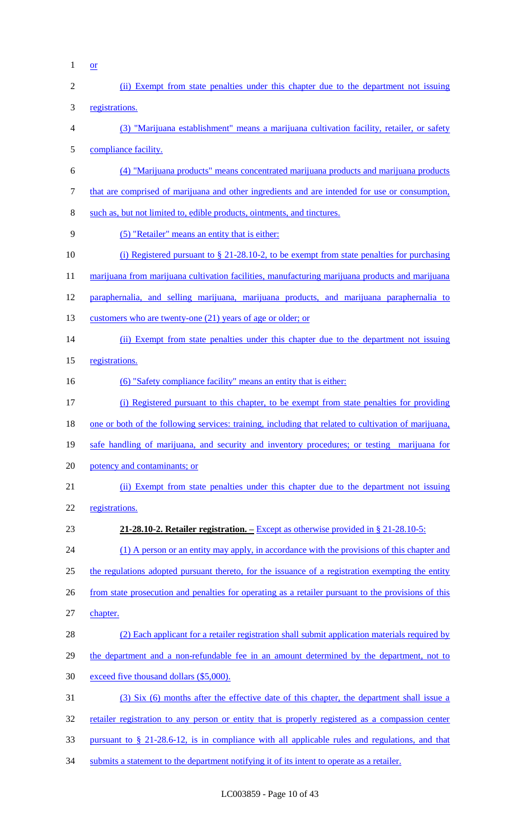$1 \quad \text{or}$ 

| $\sqrt{2}$ | (ii) Exempt from state penalties under this chapter due to the department not issuing                |
|------------|------------------------------------------------------------------------------------------------------|
| 3          | registrations.                                                                                       |
| 4          | (3) "Marijuana establishment" means a marijuana cultivation facility, retailer, or safety            |
| 5          | compliance facility.                                                                                 |
| 6          | (4) "Marijuana products" means concentrated marijuana products and marijuana products                |
| $\tau$     | that are comprised of marijuana and other ingredients and are intended for use or consumption,       |
| $8\,$      | such as, but not limited to, edible products, ointments, and tinctures.                              |
| 9          | (5) "Retailer" means an entity that is either:                                                       |
| 10         | (i) Registered pursuant to $\S 21-28.10-2$ , to be exempt from state penalties for purchasing        |
| 11         | marijuana from marijuana cultivation facilities, manufacturing marijuana products and marijuana      |
| 12         | paraphernalia, and selling marijuana, marijuana products, and marijuana paraphernalia to             |
| 13         | customers who are twenty-one (21) years of age or older; or                                          |
| 14         | (ii) Exempt from state penalties under this chapter due to the department not issuing                |
| 15         | registrations.                                                                                       |
| 16         | (6) "Safety compliance facility" means an entity that is either:                                     |
| 17         | (i) Registered pursuant to this chapter, to be exempt from state penalties for providing             |
| 18         | one or both of the following services: training, including that related to cultivation of marijuana, |
| 19         | safe handling of marijuana, and security and inventory procedures; or testing marijuana for          |
| 20         | potency and contaminants; or                                                                         |
| 21         | (ii) Exempt from state penalties under this chapter due to the department not issuing                |
| 22         | registrations.                                                                                       |
| 23         | <b>21-28.10-2. Retailer registration.</b> – Except as otherwise provided in § 21-28.10-5:            |
| 24         | (1) A person or an entity may apply, in accordance with the provisions of this chapter and           |
| 25         | the regulations adopted pursuant thereto, for the issuance of a registration exempting the entity    |
| 26         | from state prosecution and penalties for operating as a retailer pursuant to the provisions of this  |
| 27         | chapter.                                                                                             |
| 28         | (2) Each applicant for a retailer registration shall submit application materials required by        |
| 29         | the department and a non-refundable fee in an amount determined by the department, not to            |
| 30         | exceed five thousand dollars (\$5,000).                                                              |
| 31         | (3) Six (6) months after the effective date of this chapter, the department shall issue a            |
| 32         | retailer registration to any person or entity that is properly registered as a compassion center     |
| 33         | pursuant to $\S$ 21-28.6-12, is in compliance with all applicable rules and regulations, and that    |
| 34         | submits a statement to the department notifying it of its intent to operate as a retailer.           |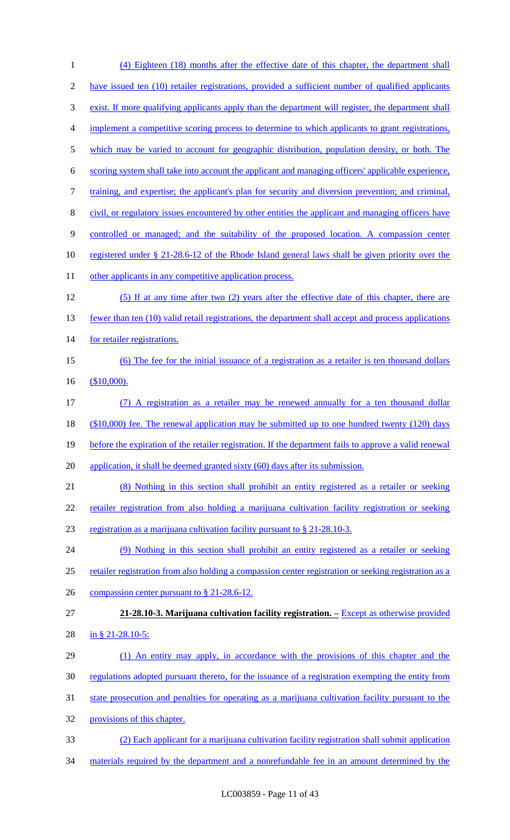| $\mathbf{1}$   | (4) Eighteen (18) months after the effective date of this chapter, the department shall                        |
|----------------|----------------------------------------------------------------------------------------------------------------|
| $\mathfrak{2}$ | have issued ten (10) retailer registrations, provided a sufficient number of qualified applicants              |
| 3              | exist. If more qualifying applicants apply than the department will register, the department shall             |
| 4              | implement a competitive scoring process to determine to which applicants to grant registrations,               |
| 5              | which may be varied to account for geographic distribution, population density, or both. The                   |
| 6              | scoring system shall take into account the applicant and managing officers' applicable experience,             |
| 7              | training, and expertise; the applicant's plan for security and diversion prevention; and criminal,             |
| 8              | civil, or regulatory issues encountered by other entities the applicant and managing officers have             |
| 9              | controlled or managed; and the suitability of the proposed location. A compassion center                       |
| 10             | registered under § 21-28.6-12 of the Rhode Island general laws shall be given priority over the                |
| 11             | other applicants in any competitive application process.                                                       |
| 12             | (5) If at any time after two (2) years after the effective date of this chapter, there are                     |
| 13             | fewer than ten (10) valid retail registrations, the department shall accept and process applications           |
| 14             | for retailer registrations.                                                                                    |
| 15             | (6) The fee for the initial issuance of a registration as a retailer is ten thousand dollars                   |
| 16             | $$10,000$ .                                                                                                    |
| 17             | (7) A registration as a retailer may be renewed annually for a ten thousand dollar                             |
| 18             | $($10,000)$ fee. The renewal application may be submitted up to one hundred twenty (120) days                  |
| 19             | before the expiration of the retailer registration. If the department fails to approve a valid renewal         |
| 20             | application, it shall be deemed granted sixty (60) days after its submission.                                  |
| 21             | (8) Nothing in this section shall prohibit an entity registered as a retailer or seeking                       |
| 22             | retailer registration from also holding a marijuana cultivation facility registration or seeking               |
| 23             | registration as a marijuana cultivation facility pursuant to § 21-28.10-3.                                     |
| 24             | (9) Nothing in this section shall prohibit an entity registered as a retailer or seeking                       |
| 25             | retailer registration from also holding a compassion center registration or seeking registration as a          |
| 26             | compassion center pursuant to $\S 21-28.6-12$ .                                                                |
| 27             | 21-28.10-3. Marijuana cultivation facility registration. $\overline{\phantom{a}}$ Except as otherwise provided |
| 28             | in § 21-28.10-5:                                                                                               |
| 29             | (1) An entity may apply, in accordance with the provisions of this chapter and the                             |
| 30             | regulations adopted pursuant thereto, for the issuance of a registration exempting the entity from             |
| 31             | state prosecution and penalties for operating as a marijuana cultivation facility pursuant to the              |
| 32             | provisions of this chapter.                                                                                    |
| 33             | (2) Each applicant for a marijuana cultivation facility registration shall submit application                  |
| 34             | materials required by the department and a nonrefundable fee in an amount determined by the                    |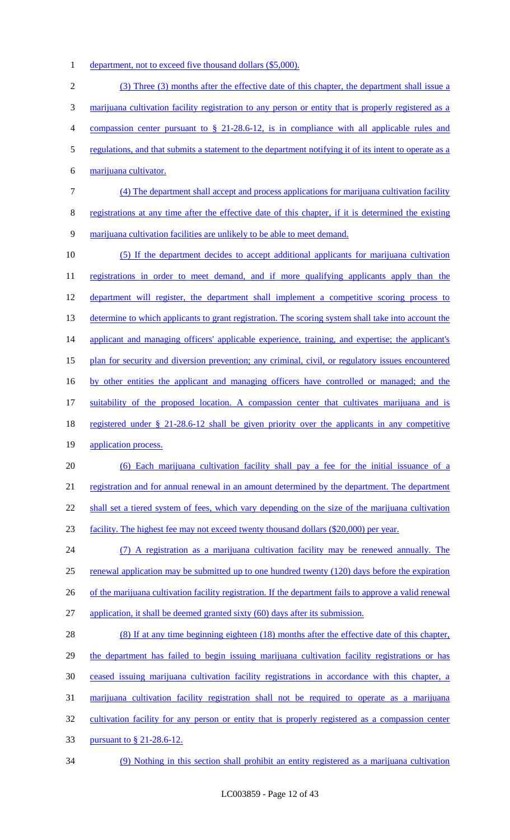1 department, not to exceed five thousand dollars (\$5,000).

 (3) Three (3) months after the effective date of this chapter, the department shall issue a marijuana cultivation facility registration to any person or entity that is properly registered as a compassion center pursuant to § 21-28.6-12, is in compliance with all applicable rules and regulations, and that submits a statement to the department notifying it of its intent to operate as a marijuana cultivator. (4) The department shall accept and process applications for marijuana cultivation facility registrations at any time after the effective date of this chapter, if it is determined the existing marijuana cultivation facilities are unlikely to be able to meet demand. (5) If the department decides to accept additional applicants for marijuana cultivation 11 registrations in order to meet demand, and if more qualifying applicants apply than the 12 department will register, the department shall implement a competitive scoring process to 13 determine to which applicants to grant registration. The scoring system shall take into account the 14 applicant and managing officers' applicable experience, training, and expertise; the applicant's plan for security and diversion prevention; any criminal, civil, or regulatory issues encountered by other entities the applicant and managing officers have controlled or managed; and the suitability of the proposed location. A compassion center that cultivates marijuana and is 18 registered under § 21-28.6-12 shall be given priority over the applicants in any competitive application process. (6) Each marijuana cultivation facility shall pay a fee for the initial issuance of a 21 registration and for annual renewal in an amount determined by the department. The department 22 shall set a tiered system of fees, which vary depending on the size of the marijuana cultivation facility. The highest fee may not exceed twenty thousand dollars (\$20,000) per year. (7) A registration as a marijuana cultivation facility may be renewed annually. The 25 renewal application may be submitted up to one hundred twenty (120) days before the expiration 26 of the marijuana cultivation facility registration. If the department fails to approve a valid renewal application, it shall be deemed granted sixty (60) days after its submission. (8) If at any time beginning eighteen (18) months after the effective date of this chapter, the department has failed to begin issuing marijuana cultivation facility registrations or has ceased issuing marijuana cultivation facility registrations in accordance with this chapter, a marijuana cultivation facility registration shall not be required to operate as a marijuana 32 cultivation facility for any person or entity that is properly registered as a compassion center pursuant to § 21-28.6-12. (9) Nothing in this section shall prohibit an entity registered as a marijuana cultivation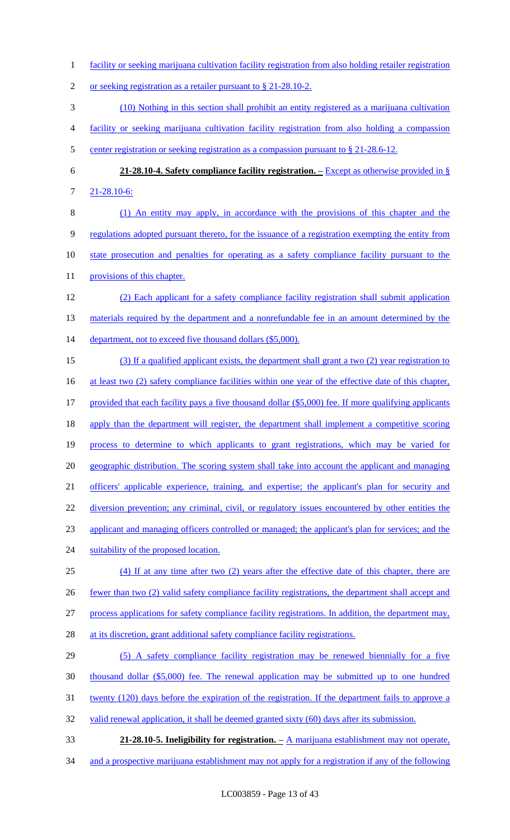- 1 facility or seeking marijuana cultivation facility registration from also holding retailer registration
- 2 or seeking registration as a retailer pursuant to § 21-28.10-2.
- 3 (10) Nothing in this section shall prohibit an entity registered as a marijuana cultivation
- 4 facility or seeking marijuana cultivation facility registration from also holding a compassion
- 5 center registration or seeking registration as a compassion pursuant to § 21-28.6-12.
- 6 **21-28.10-4. Safety compliance facility registration. –** Except as otherwise provided in § 7 21-28.10-6:
- 8 (1) An entity may apply, in accordance with the provisions of this chapter and the 9 regulations adopted pursuant thereto, for the issuance of a registration exempting the entity from 10 state prosecution and penalties for operating as a safety compliance facility pursuant to the 11 provisions of this chapter.
- 12 (2) Each applicant for a safety compliance facility registration shall submit application 13 materials required by the department and a nonrefundable fee in an amount determined by the 14 department, not to exceed five thousand dollars (\$5,000).
- 15 (3) If a qualified applicant exists, the department shall grant a two (2) year registration to 16 at least two (2) safety compliance facilities within one year of the effective date of this chapter, 17 provided that each facility pays a five thousand dollar (\$5,000) fee. If more qualifying applicants 18 apply than the department will register, the department shall implement a competitive scoring 19 process to determine to which applicants to grant registrations, which may be varied for 20 geographic distribution. The scoring system shall take into account the applicant and managing 21 officers' applicable experience, training, and expertise; the applicant's plan for security and 22 diversion prevention; any criminal, civil, or regulatory issues encountered by other entities the 23 applicant and managing officers controlled or managed; the applicant's plan for services; and the 24 suitability of the proposed location. 25 (4) If at any time after two (2) years after the effective date of this chapter, there are 26 fewer than two (2) valid safety compliance facility registrations, the department shall accept and
- 27 process applications for safety compliance facility registrations. In addition, the department may,
- 28 at its discretion, grant additional safety compliance facility registrations.
- 29 (5) A safety compliance facility registration may be renewed biennially for a five
- 30 thousand dollar (\$5,000) fee. The renewal application may be submitted up to one hundred
- 31 twenty (120) days before the expiration of the registration. If the department fails to approve a
- 32 valid renewal application, it shall be deemed granted sixty (60) days after its submission.
- 33 **21-28.10-5. Ineligibility for registration. –** A marijuana establishment may not operate,
- 34 and a prospective marijuana establishment may not apply for a registration if any of the following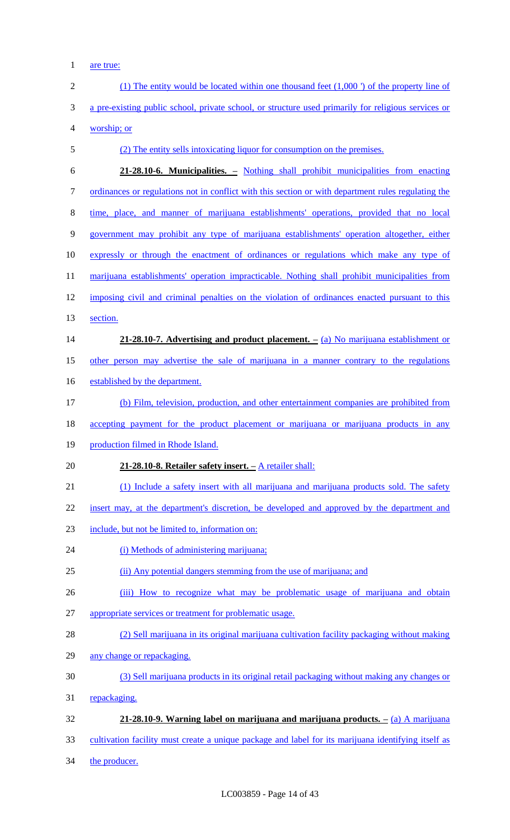1 <u>are true:</u>

| $\mathbf{2}$ | $(1)$ The entity would be located within one thousand feet $(1,000)$ of the property line of        |
|--------------|-----------------------------------------------------------------------------------------------------|
| 3            | a pre-existing public school, private school, or structure used primarily for religious services or |
| 4            | worship; or                                                                                         |
| 5            | (2) The entity sells intoxicating liquor for consumption on the premises.                           |
| 6            | 21-28.10-6. Municipalities. – Nothing shall prohibit municipalities from enacting                   |
| $\tau$       | ordinances or regulations not in conflict with this section or with department rules regulating the |
| 8            | time, place, and manner of marijuana establishments' operations, provided that no local             |
| 9            | government may prohibit any type of marijuana establishments' operation altogether, either          |
| 10           | expressly or through the enactment of ordinances or regulations which make any type of              |
| 11           | marijuana establishments' operation impracticable. Nothing shall prohibit municipalities from       |
| 12           | imposing civil and criminal penalties on the violation of ordinances enacted pursuant to this       |
| 13           | section.                                                                                            |
| 14           | 21-28.10-7. Advertising and product placement. $-$ (a) No marijuana establishment or                |
| 15           | other person may advertise the sale of marijuana in a manner contrary to the regulations            |
| 16           | established by the department.                                                                      |
| 17           | (b) Film, television, production, and other entertainment companies are prohibited from             |
| 18           | accepting payment for the product placement or marijuana or marijuana products in any               |
| 19           | production filmed in Rhode Island.                                                                  |
| 20           | 21-28.10-8. Retailer safety insert. - A retailer shall:                                             |
| 21           | (1) Include a safety insert with all marijuana and marijuana products sold. The safety              |
| 22           | insert may, at the department's discretion, be developed and approved by the department and         |
| 23           | include, but not be limited to, information on:                                                     |
| 24           | (i) Methods of administering marijuana;                                                             |
| 25           | (ii) Any potential dangers stemming from the use of marijuana; and                                  |
| 26           | (iii) How to recognize what may be problematic usage of marijuana and obtain                        |
| 27           | appropriate services or treatment for problematic usage.                                            |
| 28           | (2) Sell marijuana in its original marijuana cultivation facility packaging without making          |
| 29           | any change or repackaging.                                                                          |
| 30           | (3) Sell marijuana products in its original retail packaging without making any changes or          |
| 31           | repackaging.                                                                                        |
| 32           | 21-28.10-9. Warning label on marijuana and marijuana products. $-\left(a\right)$ A marijuana        |
| 33           | cultivation facility must create a unique package and label for its marijuana identifying itself as |
| 34           | the producer.                                                                                       |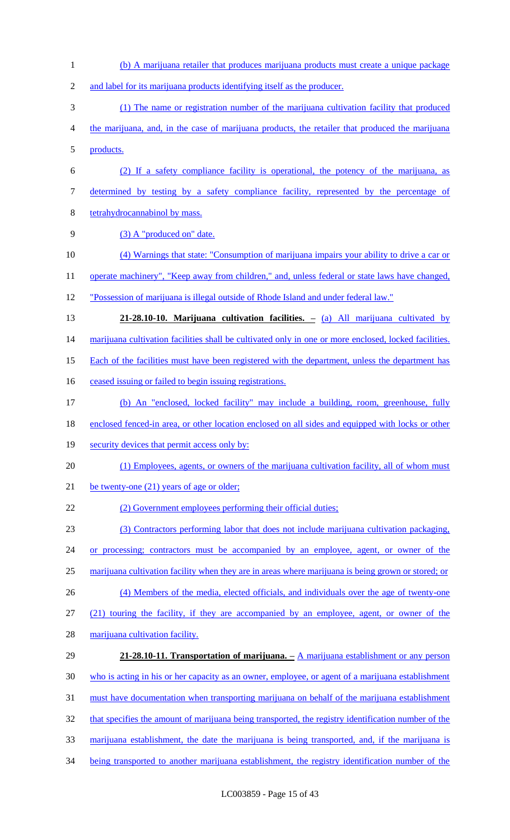(b) A marijuana retailer that produces marijuana products must create a unique package and label for its marijuana products identifying itself as the producer. (1) The name or registration number of the marijuana cultivation facility that produced the marijuana, and, in the case of marijuana products, the retailer that produced the marijuana products. (2) If a safety compliance facility is operational, the potency of the marijuana, as determined by testing by a safety compliance facility, represented by the percentage of tetrahydrocannabinol by mass. 9 (3) A "produced on" date. (4) Warnings that state: "Consumption of marijuana impairs your ability to drive a car or 11 operate machinery", "Keep away from children," and, unless federal or state laws have changed, "Possession of marijuana is illegal outside of Rhode Island and under federal law." **21-28.10-10. Marijuana cultivation facilities. –** (a) All marijuana cultivated by 14 marijuana cultivation facilities shall be cultivated only in one or more enclosed, locked facilities. 15 Each of the facilities must have been registered with the department, unless the department has 16 ceased issuing or failed to begin issuing registrations. (b) An "enclosed, locked facility" may include a building, room, greenhouse, fully 18 enclosed fenced-in area, or other location enclosed on all sides and equipped with locks or other 19 security devices that permit access only by: 20 (1) Employees, agents, or owners of the marijuana cultivation facility, all of whom must 21 be twenty-one (21) years of age or older; 22 (2) Government employees performing their official duties; (3) Contractors performing labor that does not include marijuana cultivation packaging, 24 or processing; contractors must be accompanied by an employee, agent, or owner of the marijuana cultivation facility when they are in areas where marijuana is being grown or stored; or (4) Members of the media, elected officials, and individuals over the age of twenty-one (21) touring the facility, if they are accompanied by an employee, agent, or owner of the marijuana cultivation facility. **21-28.10-11. Transportation of marijuana. –** A marijuana establishment or any person who is acting in his or her capacity as an owner, employee, or agent of a marijuana establishment 31 must have documentation when transporting marijuana on behalf of the marijuana establishment that specifies the amount of marijuana being transported, the registry identification number of the marijuana establishment, the date the marijuana is being transported, and, if the marijuana is being transported to another marijuana establishment, the registry identification number of the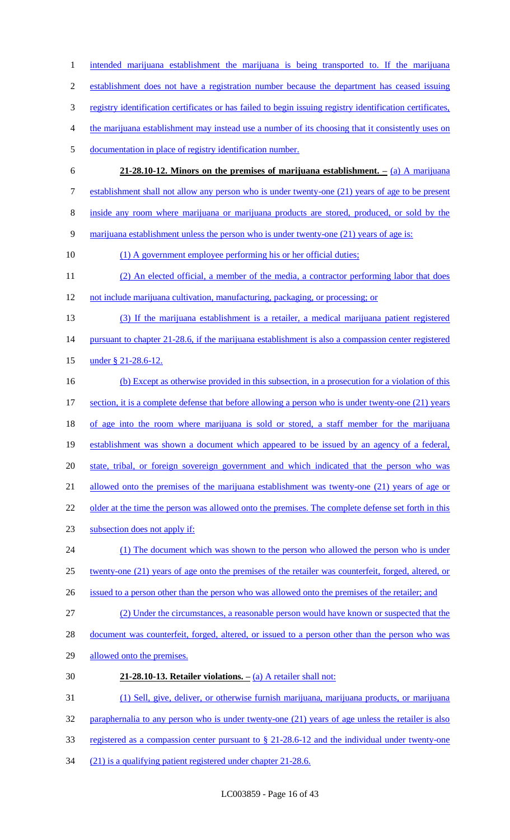1 intended marijuana establishment the marijuana is being transported to. If the marijuana establishment does not have a registration number because the department has ceased issuing registry identification certificates or has failed to begin issuing registry identification certificates, the marijuana establishment may instead use a number of its choosing that it consistently uses on documentation in place of registry identification number. **21-28.10-12. Minors on the premises of marijuana establishment. –** (a) A marijuana establishment shall not allow any person who is under twenty-one (21) years of age to be present inside any room where marijuana or marijuana products are stored, produced, or sold by the marijuana establishment unless the person who is under twenty-one (21) years of age is: (1) A government employee performing his or her official duties; (2) An elected official, a member of the media, a contractor performing labor that does 12 not include marijuana cultivation, manufacturing, packaging, or processing; or (3) If the marijuana establishment is a retailer, a medical marijuana patient registered 14 pursuant to chapter 21-28.6, if the marijuana establishment is also a compassion center registered under § 21-28.6-12. (b) Except as otherwise provided in this subsection, in a prosecution for a violation of this 17 section, it is a complete defense that before allowing a person who is under twenty-one (21) years 18 of age into the room where marijuana is sold or stored, a staff member for the marijuana establishment was shown a document which appeared to be issued by an agency of a federal, state, tribal, or foreign sovereign government and which indicated that the person who was 21 allowed onto the premises of the marijuana establishment was twenty-one (21) years of age or 22 older at the time the person was allowed onto the premises. The complete defense set forth in this subsection does not apply if: 24 (1) The document which was shown to the person who allowed the person who is under twenty-one (21) years of age onto the premises of the retailer was counterfeit, forged, altered, or 26 issued to a person other than the person who was allowed onto the premises of the retailer; and (2) Under the circumstances, a reasonable person would have known or suspected that the 28 document was counterfeit, forged, altered, or issued to a person other than the person who was allowed onto the premises. **21-28.10-13. Retailer violations. –** (a) A retailer shall not: (1) Sell, give, deliver, or otherwise furnish marijuana, marijuana products, or marijuana 32 paraphernalia to any person who is under twenty-one (21) years of age unless the retailer is also registered as a compassion center pursuant to § 21-28.6-12 and the individual under twenty-one

(21) is a qualifying patient registered under chapter 21-28.6.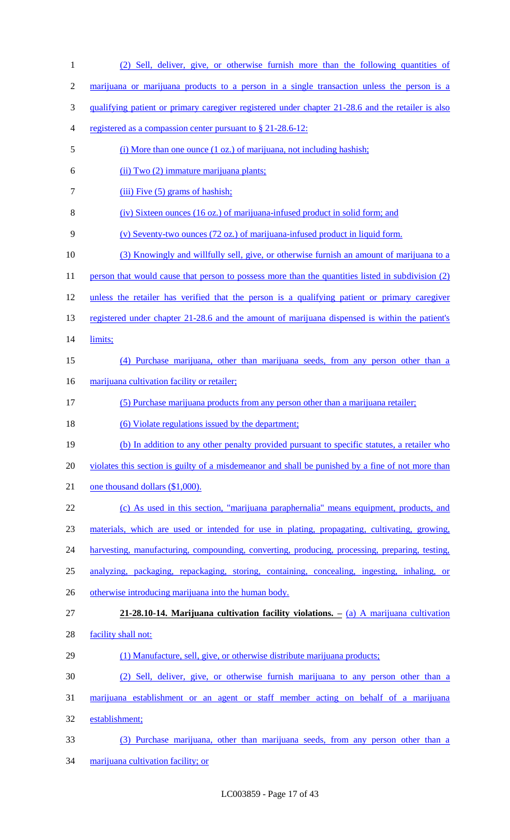| $\mathbf{1}$   | (2) Sell, deliver, give, or otherwise furnish more than the following quantities of                      |
|----------------|----------------------------------------------------------------------------------------------------------|
| $\overline{2}$ | marijuana or marijuana products to a person in a single transaction unless the person is a               |
| 3              | <u>qualifying patient or primary caregiver registered under chapter 21-28.6 and the retailer is also</u> |
| 4              | registered as a compassion center pursuant to $\S 21-28.6-12$ :                                          |
| 5              | (i) More than one ounce (1 oz.) of marijuana, not including hashish;                                     |
| 6              | (ii) Two (2) immature marijuana plants;                                                                  |
| 7              | $(iii)$ Five $(5)$ grams of hashish;                                                                     |
| 8              | (iv) Sixteen ounces (16 oz.) of marijuana-infused product in solid form; and                             |
| 9              | (v) Seventy-two ounces (72 oz.) of marijuana-infused product in liquid form.                             |
| 10             | (3) Knowingly and willfully sell, give, or otherwise furnish an amount of marijuana to a                 |
| 11             | person that would cause that person to possess more than the quantities listed in subdivision (2)        |
| 12             | unless the retailer has verified that the person is a qualifying patient or primary caregiver            |
| 13             | registered under chapter 21-28.6 and the amount of marijuana dispensed is within the patient's           |
| 14             | limits;                                                                                                  |
| 15             | (4) Purchase marijuana, other than marijuana seeds, from any person other than a                         |
| 16             | marijuana cultivation facility or retailer;                                                              |
| 17             | (5) Purchase marijuana products from any person other than a marijuana retailer;                         |
| 18             | (6) Violate regulations issued by the department;                                                        |
| 19             | (b) In addition to any other penalty provided pursuant to specific statutes, a retailer who              |
| 20             | violates this section is guilty of a misdemeanor and shall be punished by a fine of not more than        |
| 21             | one thousand dollars (\$1,000).                                                                          |
| 22             | (c) As used in this section, "marijuana paraphernalia" means equipment, products, and                    |
| 23             | materials, which are used or intended for use in plating, propagating, cultivating, growing,             |
| 24             | harvesting, manufacturing, compounding, converting, producing, processing, preparing, testing,           |
| 25             | analyzing, packaging, repackaging, storing, containing, concealing, ingesting, inhaling, or              |
| 26             | otherwise introducing marijuana into the human body.                                                     |
| 27             | $21-28.10-14$ . Marijuana cultivation facility violations. $-$ (a) A marijuana cultivation               |
| 28             | facility shall not:                                                                                      |
| 29             | (1) Manufacture, sell, give, or otherwise distribute marijuana products;                                 |
| 30             | (2) Sell, deliver, give, or otherwise furnish marijuana to any person other than a                       |
| 31             | marijuana establishment or an agent or staff member acting on behalf of a marijuana                      |
| 32             | establishment;                                                                                           |
| 33             | (3) Purchase marijuana, other than marijuana seeds, from any person other than a                         |
| 34             | marijuana cultivation facility; or                                                                       |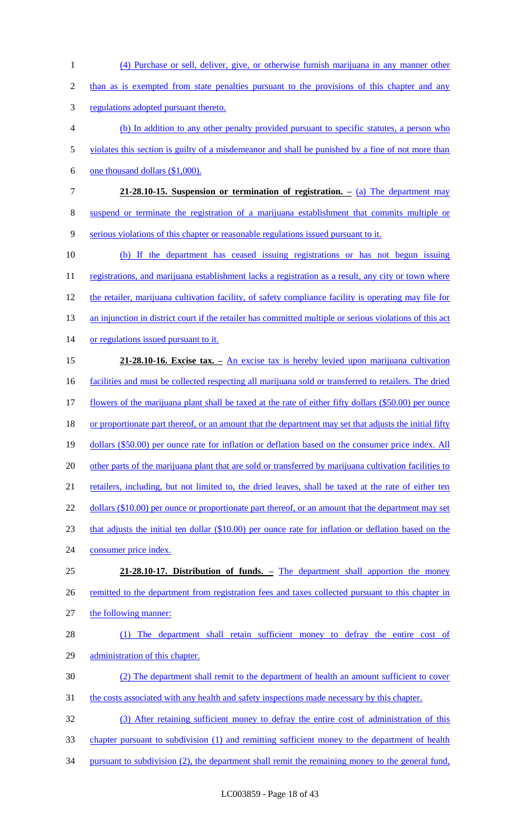1 (4) Purchase or sell, deliver, give, or otherwise furnish marijuana in any manner other 2 than as is exempted from state penalties pursuant to the provisions of this chapter and any 3 regulations adopted pursuant thereto. 4 (b) In addition to any other penalty provided pursuant to specific statutes, a person who 5 violates this section is guilty of a misdemeanor and shall be punished by a fine of not more than 6 one thousand dollars (\$1,000). 7 **21-28.10-15. Suspension or termination of registration. –** (a) The department may 8 suspend or terminate the registration of a marijuana establishment that commits multiple or 9 serious violations of this chapter or reasonable regulations issued pursuant to it. 10 (b) If the department has ceased issuing registrations or has not begun issuing 11 registrations, and marijuana establishment lacks a registration as a result, any city or town where 12 the retailer, marijuana cultivation facility, of safety compliance facility is operating may file for 13 an injunction in district court if the retailer has committed multiple or serious violations of this act 14 or regulations issued pursuant to it. 15 **21-28.10-16. Excise tax. –** An excise tax is hereby levied upon marijuana cultivation 16 facilities and must be collected respecting all marijuana sold or transferred to retailers. The dried 17 flowers of the marijuana plant shall be taxed at the rate of either fifty dollars (\$50.00) per ounce 18 or proportionate part thereof, or an amount that the department may set that adjusts the initial fifty 19 dollars (\$50.00) per ounce rate for inflation or deflation based on the consumer price index. All 20 other parts of the marijuana plant that are sold or transferred by marijuana cultivation facilities to 21 retailers, including, but not limited to, the dried leaves, shall be taxed at the rate of either ten 22 dollars (\$10.00) per ounce or proportionate part thereof, or an amount that the department may set 23 that adjusts the initial ten dollar (\$10.00) per ounce rate for inflation or deflation based on the 24 consumer price index. 25 **21-28.10-17. Distribution of funds. –** The department shall apportion the money 26 remitted to the department from registration fees and taxes collected pursuant to this chapter in 27 the following manner: 28 (1) The department shall retain sufficient money to defray the entire cost of 29 administration of this chapter. 30 (2) The department shall remit to the department of health an amount sufficient to cover 31 the costs associated with any health and safety inspections made necessary by this chapter. 32 (3) After retaining sufficient money to defray the entire cost of administration of this 33 chapter pursuant to subdivision (1) and remitting sufficient money to the department of health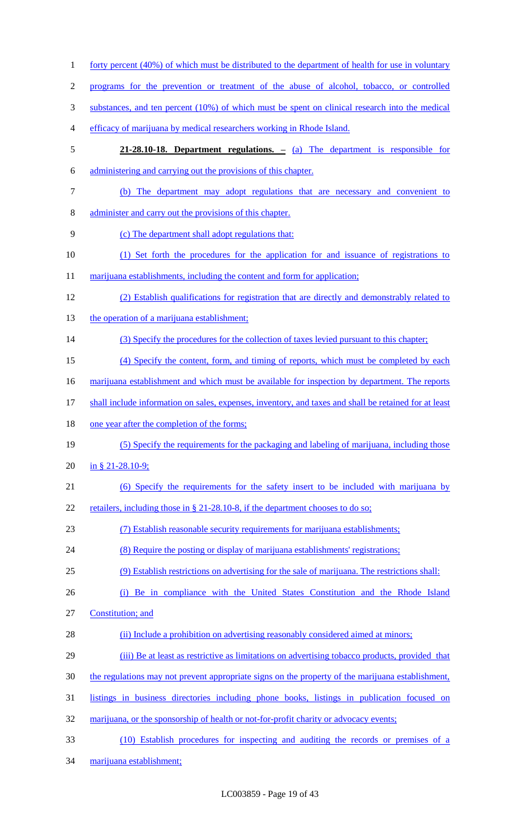| $\mathbf{1}$   | <u>forty percent (40%) of which must be distributed to the department of health for use in voluntary</u> |
|----------------|----------------------------------------------------------------------------------------------------------|
| $\overline{c}$ | programs for the prevention or treatment of the abuse of alcohol, tobacco, or controlled                 |
| 3              | substances, and ten percent (10%) of which must be spent on clinical research into the medical           |
| 4              | efficacy of marijuana by medical researchers working in Rhode Island.                                    |
| 5              | 21-28.10-18. Department regulations. – (a) The department is responsible for                             |
| 6              | administering and carrying out the provisions of this chapter.                                           |
| $\tau$         | (b) The department may adopt regulations that are necessary and convenient to                            |
| 8              | administer and carry out the provisions of this chapter.                                                 |
| 9              | (c) The department shall adopt regulations that:                                                         |
| 10             | (1) Set forth the procedures for the application for and issuance of registrations to                    |
| 11             | marijuana establishments, including the content and form for application;                                |
| 12             | (2) Establish qualifications for registration that are directly and demonstrably related to              |
| 13             | the operation of a marijuana establishment;                                                              |
| 14             | (3) Specify the procedures for the collection of taxes levied pursuant to this chapter;                  |
| 15             | (4) Specify the content, form, and timing of reports, which must be completed by each                    |
| 16             | marijuana establishment and which must be available for inspection by department. The reports            |
| 17             | shall include information on sales, expenses, inventory, and taxes and shall be retained for at least    |
| 18             | one year after the completion of the forms;                                                              |
| 19             | (5) Specify the requirements for the packaging and labeling of marijuana, including those                |
| 20             | in § 21-28.10-9;                                                                                         |
| 21             | (6) Specify the requirements for the safety insert to be included with marijuana by                      |
| 22             | retailers, including those in § 21-28.10-8, if the department chooses to do so;                          |
| 23             | (7) Establish reasonable security requirements for marijuana establishments;                             |
| 24             | (8) Require the posting or display of marijuana establishments' registrations;                           |
| 25             | (9) Establish restrictions on advertising for the sale of marijuana. The restrictions shall:             |
| 26             | (i) Be in compliance with the United States Constitution and the Rhode Island                            |
| 27             | Constitution; and                                                                                        |
| 28             | (ii) Include a prohibition on advertising reasonably considered aimed at minors;                         |
| 29             | (iii) Be at least as restrictive as limitations on advertising tobacco products, provided that           |
| 30             | the regulations may not prevent appropriate signs on the property of the marijuana establishment,        |
| 31             | listings in business directories including phone books, listings in publication focused on               |
| 32             | marijuana, or the sponsorship of health or not-for-profit charity or advocacy events;                    |
| 33             | (10) Establish procedures for inspecting and auditing the records or premises of a                       |
| 34             | marijuana establishment;                                                                                 |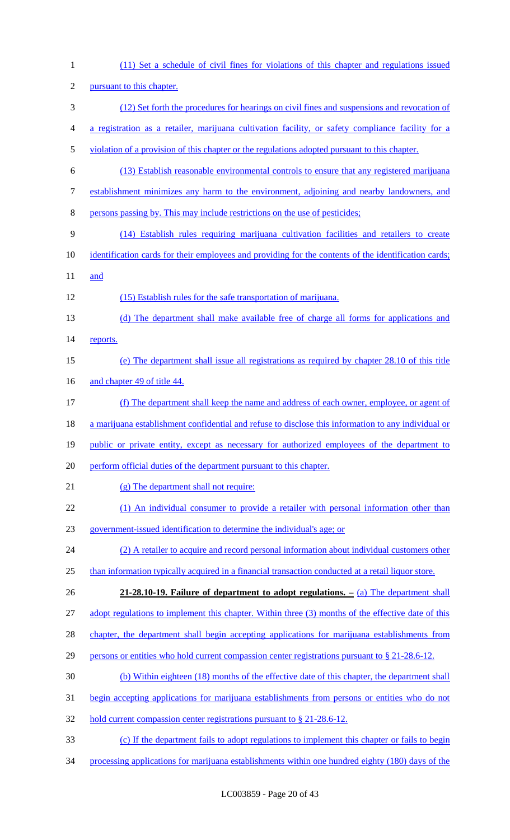(11) Set a schedule of civil fines for violations of this chapter and regulations issued pursuant to this chapter. (12) Set forth the procedures for hearings on civil fines and suspensions and revocation of a registration as a retailer, marijuana cultivation facility, or safety compliance facility for a 5 violation of a provision of this chapter or the regulations adopted pursuant to this chapter. (13) Establish reasonable environmental controls to ensure that any registered marijuana establishment minimizes any harm to the environment, adjoining and nearby landowners, and persons passing by. This may include restrictions on the use of pesticides; (14) Establish rules requiring marijuana cultivation facilities and retailers to create identification cards for their employees and providing for the contents of the identification cards; 11 and (15) Establish rules for the safe transportation of marijuana. (d) The department shall make available free of charge all forms for applications and 14 reports. (e) The department shall issue all registrations as required by chapter 28.10 of this title 16 and chapter 49 of title 44. (f) The department shall keep the name and address of each owner, employee, or agent of a marijuana establishment confidential and refuse to disclose this information to any individual or 19 public or private entity, except as necessary for authorized employees of the department to perform official duties of the department pursuant to this chapter. (g) The department shall not require: 22 (1) An individual consumer to provide a retailer with personal information other than government-issued identification to determine the individual's age; or (2) A retailer to acquire and record personal information about individual customers other 25 than information typically acquired in a financial transaction conducted at a retail liquor store. **21-28.10-19. Failure of department to adopt regulations. –** (a) The department shall 27 adopt regulations to implement this chapter. Within three (3) months of the effective date of this 28 chapter, the department shall begin accepting applications for marijuana establishments from 29 persons or entities who hold current compassion center registrations pursuant to § 21-28.6-12. (b) Within eighteen (18) months of the effective date of this chapter, the department shall begin accepting applications for marijuana establishments from persons or entities who do not 32 hold current compassion center registrations pursuant to § 21-28.6-12. (c) If the department fails to adopt regulations to implement this chapter or fails to begin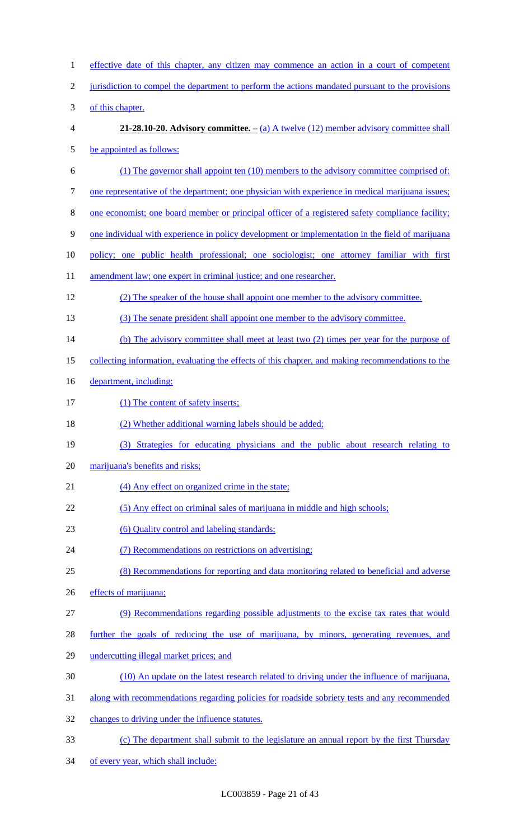| $\mathbf{1}$   | effective date of this chapter, any citizen may commence an action in a court of competent        |
|----------------|---------------------------------------------------------------------------------------------------|
| $\overline{2}$ | jurisdiction to compel the department to perform the actions mandated pursuant to the provisions  |
| $\mathfrak{Z}$ | of this chapter.                                                                                  |
| $\overline{4}$ | <b>21-28.10-20.</b> Advisory committee. $-$ (a) A twelve (12) member advisory committee shall     |
| $\mathfrak{S}$ | be appointed as follows:                                                                          |
| 6              | (1) The governor shall appoint ten (10) members to the advisory committee comprised of:           |
| $\tau$         | one representative of the department; one physician with experience in medical marijuana issues;  |
| $\,8\,$        | one economist; one board member or principal officer of a registered safety compliance facility;  |
| 9              | one individual with experience in policy development or implementation in the field of marijuana  |
| 10             | policy; one public health professional; one sociologist; one attorney familiar with first         |
| 11             | amendment law; one expert in criminal justice; and one researcher.                                |
| 12             | (2) The speaker of the house shall appoint one member to the advisory committee.                  |
| 13             | (3) The senate president shall appoint one member to the advisory committee.                      |
| 14             | (b) The advisory committee shall meet at least two (2) times per year for the purpose of          |
| 15             | collecting information, evaluating the effects of this chapter, and making recommendations to the |
| 16             | department, including:                                                                            |
| 17             | (1) The content of safety inserts;                                                                |
| 18             | (2) Whether additional warning labels should be added;                                            |
| 19             | (3) Strategies for educating physicians and the public about research relating to                 |
| 20             | marijuana's benefits and risks;                                                                   |
| 21             | (4) Any effect on organized crime in the state;                                                   |
| 22             | (5) Any effect on criminal sales of marijuana in middle and high schools;                         |
| 23             | (6) Quality control and labeling standards;                                                       |
| 24             | (7) Recommendations on restrictions on advertising;                                               |
| 25             | (8) Recommendations for reporting and data monitoring related to beneficial and adverse           |
| 26             | effects of marijuana;                                                                             |
| 27             | (9) Recommendations regarding possible adjustments to the excise tax rates that would             |
| 28             | further the goals of reducing the use of marijuana, by minors, generating revenues, and           |
| 29             | undercutting illegal market prices; and                                                           |
| 30             | (10) An update on the latest research related to driving under the influence of marijuana,        |
| 31             | along with recommendations regarding policies for roadside sobriety tests and any recommended     |
| 32             | changes to driving under the influence statutes.                                                  |
| 33             | (c) The department shall submit to the legislature an annual report by the first Thursday         |
| 34             | of every year, which shall include:                                                               |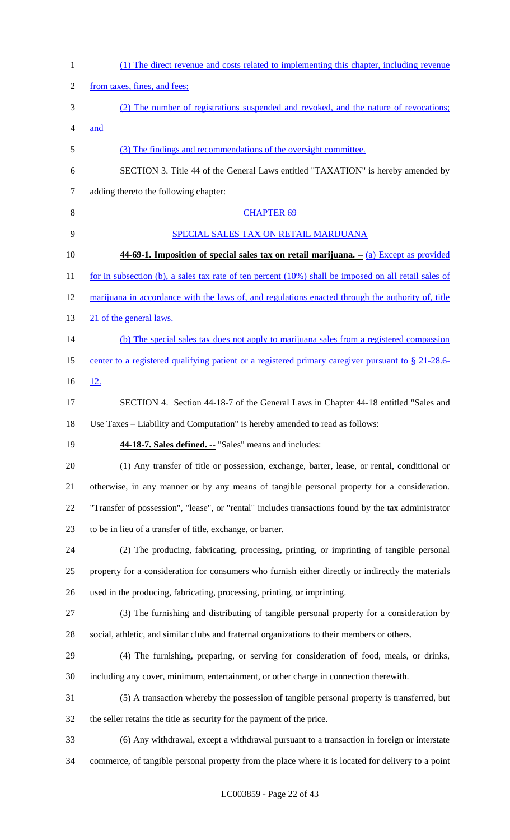| $\mathbf{1}$ | (1) The direct revenue and costs related to implementing this chapter, including revenue                |
|--------------|---------------------------------------------------------------------------------------------------------|
| 2            | from taxes, fines, and fees;                                                                            |
| 3            | (2) The number of registrations suspended and revoked, and the nature of revocations;                   |
| 4            | and                                                                                                     |
| 5            | (3) The findings and recommendations of the oversight committee.                                        |
| 6            | SECTION 3. Title 44 of the General Laws entitled "TAXATION" is hereby amended by                        |
| 7            | adding thereto the following chapter:                                                                   |
| 8            | <b>CHAPTER 69</b>                                                                                       |
| 9            | SPECIAL SALES TAX ON RETAIL MARIJUANA                                                                   |
| 10           | $44-69-1$ . Imposition of special sales tax on retail marijuana. $-\left(a\right)$ Except as provided   |
| 11           | for in subsection (b), a sales tax rate of ten percent $(10\%)$ shall be imposed on all retail sales of |
| 12           | marijuana in accordance with the laws of, and regulations enacted through the authority of, title       |
| 13           | 21 of the general laws.                                                                                 |
| 14           | (b) The special sales tax does not apply to marijuana sales from a registered compassion                |
| 15           | center to a registered qualifying patient or a registered primary caregiver pursuant to $\S$ 21-28.6-   |
| 16           | <u>12.</u>                                                                                              |
| 17           | SECTION 4. Section 44-18-7 of the General Laws in Chapter 44-18 entitled "Sales and                     |
| 18           | Use Taxes – Liability and Computation" is hereby amended to read as follows:                            |
| 19           | 44-18-7. Sales defined. -- "Sales" means and includes:                                                  |
| 20           | (1) Any transfer of title or possession, exchange, barter, lease, or rental, conditional or             |
| 21           | otherwise, in any manner or by any means of tangible personal property for a consideration.             |
| 22           | "Transfer of possession", "lease", or "rental" includes transactions found by the tax administrator     |
| 23           | to be in lieu of a transfer of title, exchange, or barter.                                              |
| 24           | (2) The producing, fabricating, processing, printing, or imprinting of tangible personal                |
| 25           | property for a consideration for consumers who furnish either directly or indirectly the materials      |
| 26           | used in the producing, fabricating, processing, printing, or imprinting.                                |
| 27           | (3) The furnishing and distributing of tangible personal property for a consideration by                |
| 28           | social, athletic, and similar clubs and fraternal organizations to their members or others.             |
| 29           | (4) The furnishing, preparing, or serving for consideration of food, meals, or drinks,                  |
| 30           | including any cover, minimum, entertainment, or other charge in connection therewith.                   |
| 31           | (5) A transaction whereby the possession of tangible personal property is transferred, but              |
| 32           | the seller retains the title as security for the payment of the price.                                  |
| 33           | (6) Any withdrawal, except a withdrawal pursuant to a transaction in foreign or interstate              |
| 34           | commerce, of tangible personal property from the place where it is located for delivery to a point      |
|              |                                                                                                         |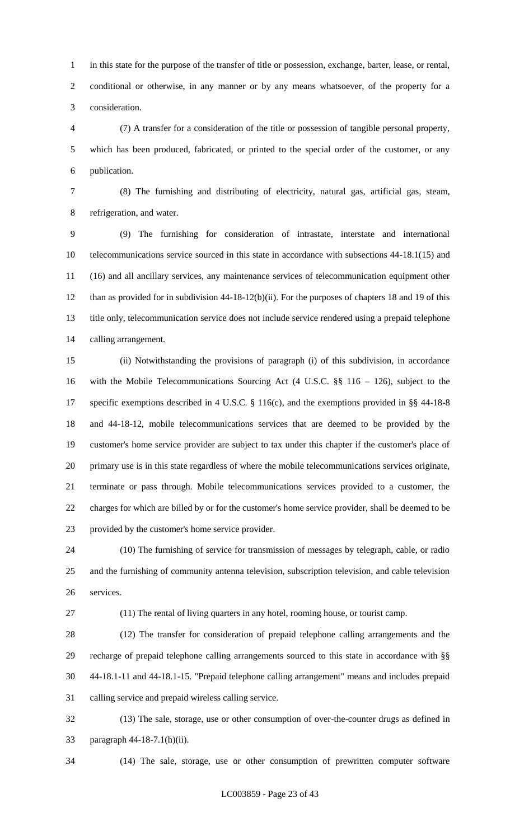in this state for the purpose of the transfer of title or possession, exchange, barter, lease, or rental, conditional or otherwise, in any manner or by any means whatsoever, of the property for a consideration.

 (7) A transfer for a consideration of the title or possession of tangible personal property, which has been produced, fabricated, or printed to the special order of the customer, or any publication.

 (8) The furnishing and distributing of electricity, natural gas, artificial gas, steam, refrigeration, and water.

 (9) The furnishing for consideration of intrastate, interstate and international telecommunications service sourced in this state in accordance with subsections 44-18.1(15) and (16) and all ancillary services, any maintenance services of telecommunication equipment other than as provided for in subdivision 44-18-12(b)(ii). For the purposes of chapters 18 and 19 of this title only, telecommunication service does not include service rendered using a prepaid telephone calling arrangement.

 (ii) Notwithstanding the provisions of paragraph (i) of this subdivision, in accordance with the Mobile Telecommunications Sourcing Act (4 U.S.C. §§ 116 – 126), subject to the specific exemptions described in 4 U.S.C. § 116(c), and the exemptions provided in §§ 44-18-8 and 44-18-12, mobile telecommunications services that are deemed to be provided by the customer's home service provider are subject to tax under this chapter if the customer's place of primary use is in this state regardless of where the mobile telecommunications services originate, terminate or pass through. Mobile telecommunications services provided to a customer, the charges for which are billed by or for the customer's home service provider, shall be deemed to be provided by the customer's home service provider.

 (10) The furnishing of service for transmission of messages by telegraph, cable, or radio and the furnishing of community antenna television, subscription television, and cable television services.

(11) The rental of living quarters in any hotel, rooming house, or tourist camp.

 (12) The transfer for consideration of prepaid telephone calling arrangements and the recharge of prepaid telephone calling arrangements sourced to this state in accordance with §§ 44-18.1-11 and 44-18.1-15. "Prepaid telephone calling arrangement" means and includes prepaid calling service and prepaid wireless calling service.

 (13) The sale, storage, use or other consumption of over-the-counter drugs as defined in paragraph 44-18-7.1(h)(ii).

(14) The sale, storage, use or other consumption of prewritten computer software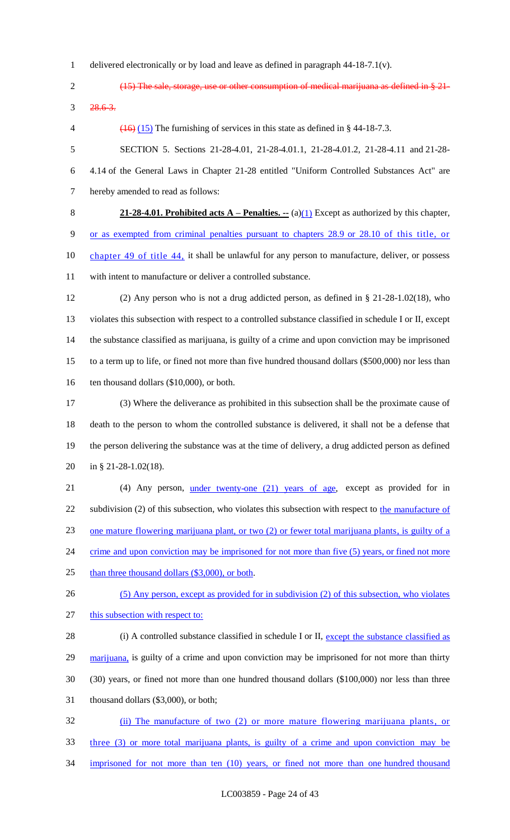delivered electronically or by load and leave as defined in paragraph 44-18-7.1(v).

 (15) The sale, storage, use or other consumption of medical marijuana as defined in § 21- 28.6-3.

4  $(16)$  (15) The furnishing of services in this state as defined in § 44-18-7.3.

 SECTION 5. Sections 21-28-4.01, 21-28-4.01.1, 21-28-4.01.2, 21-28-4.11 and 21-28- 4.14 of the General Laws in Chapter 21-28 entitled "Uniform Controlled Substances Act" are hereby amended to read as follows:

 **21-28-4.01. Prohibited acts A – Penalties. --** (a)(1) Except as authorized by this chapter, or as exempted from criminal penalties pursuant to chapters 28.9 or 28.10 of this title, or 10 chapter 49 of title 44, it shall be unlawful for any person to manufacture, deliver, or possess with intent to manufacture or deliver a controlled substance.

 (2) Any person who is not a drug addicted person, as defined in § 21-28-1.02(18), who violates this subsection with respect to a controlled substance classified in schedule I or II, except the substance classified as marijuana, is guilty of a crime and upon conviction may be imprisoned to a term up to life, or fined not more than five hundred thousand dollars (\$500,000) nor less than 16 ten thousand dollars (\$10,000), or both.

 (3) Where the deliverance as prohibited in this subsection shall be the proximate cause of death to the person to whom the controlled substance is delivered, it shall not be a defense that the person delivering the substance was at the time of delivery, a drug addicted person as defined in § 21-28-1.02(18).

21 (4) Any person, <u>under twenty-one (21) years of age</u>, except as provided for in 22 subdivision (2) of this subsection, who violates this subsection with respect to the manufacture of one mature flowering marijuana plant, or two (2) or fewer total marijuana plants, is guilty of a 24 crime and upon conviction may be imprisoned for not more than five (5) years, or fined not more

25 than three thousand dollars (\$3,000), or both.

(5) Any person, except as provided for in subdivision (2) of this subsection, who violates

27 this subsection with respect to:

28 (i) A controlled substance classified in schedule I or II, except the substance classified as

marijuana, is guilty of a crime and upon conviction may be imprisoned for not more than thirty

(30) years, or fined not more than one hundred thousand dollars (\$100,000) nor less than three

thousand dollars (\$3,000), or both;

 (ii) The manufacture of two (2) or more mature flowering marijuana plants, or three (3) or more total marijuana plants, is guilty of a crime and upon conviction may be imprisoned for not more than ten (10) years, or fined not more than one hundred thousand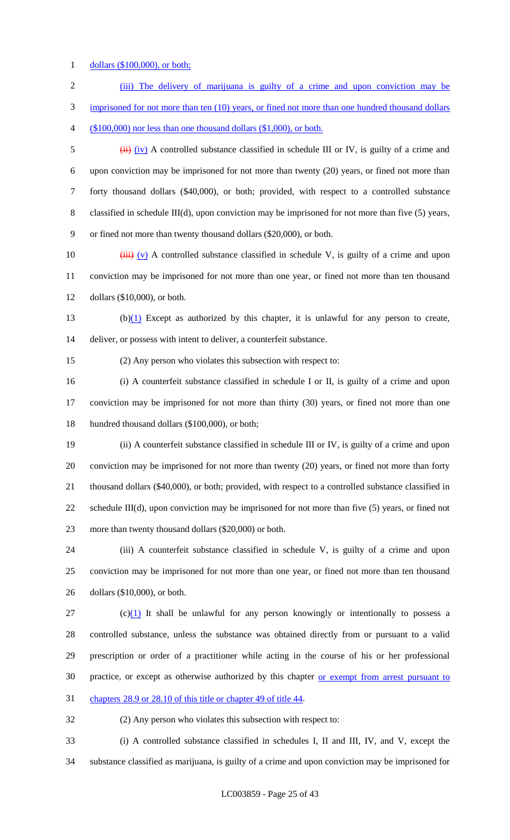dollars (\$100,000), or both;

| $\overline{2}$ | (iii) The delivery of marijuana is guilty of a crime and upon conviction may be                                 |
|----------------|-----------------------------------------------------------------------------------------------------------------|
| 3              | imprisoned for not more than ten (10) years, or fined not more than one hundred thousand dollars                |
| 4              | $(\$100,000)$ nor less than one thousand dollars $(\$1,000)$ , or both.                                         |
| 5              | $\overleftrightarrow{H}$ (iv) A controlled substance classified in schedule III or IV, is guilty of a crime and |
| 6              | upon conviction may be imprisoned for not more than twenty (20) years, or fined not more than                   |
| 7              | forty thousand dollars (\$40,000), or both; provided, with respect to a controlled substance                    |
| 8              | classified in schedule III(d), upon conviction may be imprisoned for not more than five $(5)$ years,            |
| 9              | or fined not more than twenty thousand dollars (\$20,000), or both.                                             |
| 10             | $\overrightarrow{iii}$ (v) A controlled substance classified in schedule V, is guilty of a crime and upon       |
| 11             | conviction may be imprisoned for not more than one year, or fined not more than ten thousand                    |
| 12             | dollars $(\$10,000)$ , or both.                                                                                 |
| 13             | $(b)(1)$ Except as authorized by this chapter, it is unlawful for any person to create,                         |
| 14             | deliver, or possess with intent to deliver, a counterfeit substance.                                            |
| 15             | (2) Any person who violates this subsection with respect to:                                                    |
| 16             | (i) A counterfeit substance classified in schedule I or II, is guilty of a crime and upon                       |
| 17             | conviction may be imprisoned for not more than thirty (30) years, or fined not more than one                    |
| 18             | hundred thousand dollars (\$100,000), or both;                                                                  |
| 19             | (ii) A counterfeit substance classified in schedule III or IV, is guilty of a crime and upon                    |

 conviction may be imprisoned for not more than twenty (20) years, or fined not more than forty thousand dollars (\$40,000), or both; provided, with respect to a controlled substance classified in schedule III(d), upon conviction may be imprisoned for not more than five (5) years, or fined not more than twenty thousand dollars (\$20,000) or both.

 (iii) A counterfeit substance classified in schedule V, is guilty of a crime and upon conviction may be imprisoned for not more than one year, or fined not more than ten thousand dollars (\$10,000), or both.

 (c)(1) It shall be unlawful for any person knowingly or intentionally to possess a controlled substance, unless the substance was obtained directly from or pursuant to a valid prescription or order of a practitioner while acting in the course of his or her professional 30 practice, or except as otherwise authorized by this chapter or exempt from arrest pursuant to

chapters 28.9 or 28.10 of this title or chapter 49 of title 44.

(2) Any person who violates this subsection with respect to:

 (i) A controlled substance classified in schedules I, II and III, IV, and V, except the substance classified as marijuana, is guilty of a crime and upon conviction may be imprisoned for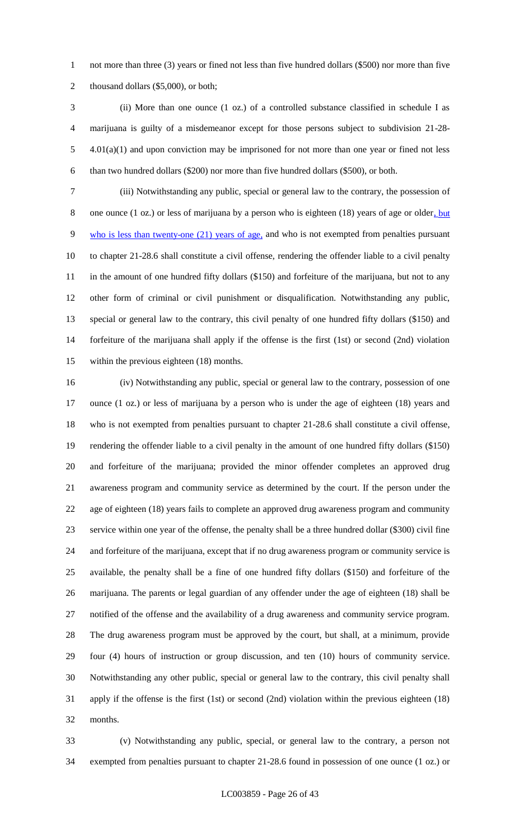not more than three (3) years or fined not less than five hundred dollars (\$500) nor more than five 2 thousand dollars (\$5,000), or both;

 (ii) More than one ounce (1 oz.) of a controlled substance classified in schedule I as marijuana is guilty of a misdemeanor except for those persons subject to subdivision 21-28- 4.01(a)(1) and upon conviction may be imprisoned for not more than one year or fined not less than two hundred dollars (\$200) nor more than five hundred dollars (\$500), or both.

 (iii) Notwithstanding any public, special or general law to the contrary, the possession of 8 one ounce (1 oz.) or less of marijuana by a person who is eighteen (18) years of age or older, but 9 who is less than twenty-one (21) years of age, and who is not exempted from penalties pursuant to chapter 21-28.6 shall constitute a civil offense, rendering the offender liable to a civil penalty in the amount of one hundred fifty dollars (\$150) and forfeiture of the marijuana, but not to any other form of criminal or civil punishment or disqualification. Notwithstanding any public, special or general law to the contrary, this civil penalty of one hundred fifty dollars (\$150) and forfeiture of the marijuana shall apply if the offense is the first (1st) or second (2nd) violation within the previous eighteen (18) months.

 (iv) Notwithstanding any public, special or general law to the contrary, possession of one ounce (1 oz.) or less of marijuana by a person who is under the age of eighteen (18) years and who is not exempted from penalties pursuant to chapter 21-28.6 shall constitute a civil offense, rendering the offender liable to a civil penalty in the amount of one hundred fifty dollars (\$150) and forfeiture of the marijuana; provided the minor offender completes an approved drug awareness program and community service as determined by the court. If the person under the age of eighteen (18) years fails to complete an approved drug awareness program and community service within one year of the offense, the penalty shall be a three hundred dollar (\$300) civil fine and forfeiture of the marijuana, except that if no drug awareness program or community service is available, the penalty shall be a fine of one hundred fifty dollars (\$150) and forfeiture of the marijuana. The parents or legal guardian of any offender under the age of eighteen (18) shall be notified of the offense and the availability of a drug awareness and community service program. The drug awareness program must be approved by the court, but shall, at a minimum, provide four (4) hours of instruction or group discussion, and ten (10) hours of community service. Notwithstanding any other public, special or general law to the contrary, this civil penalty shall apply if the offense is the first (1st) or second (2nd) violation within the previous eighteen (18) months.

 (v) Notwithstanding any public, special, or general law to the contrary, a person not exempted from penalties pursuant to chapter 21-28.6 found in possession of one ounce (1 oz.) or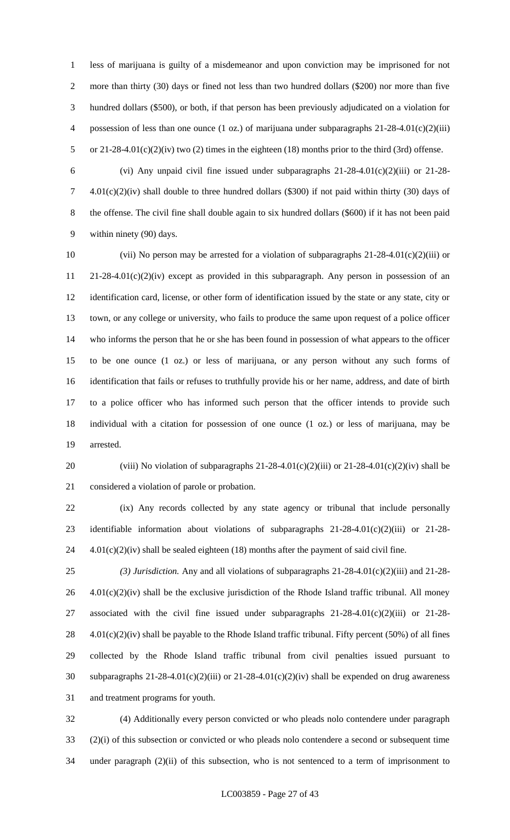less of marijuana is guilty of a misdemeanor and upon conviction may be imprisoned for not 2 more than thirty (30) days or fined not less than two hundred dollars (\$200) nor more than five hundred dollars (\$500), or both, if that person has been previously adjudicated on a violation for 4 possession of less than one ounce (1 oz.) of marijuana under subparagraphs 21-28-4.01(c)(2)(iii) or 21-28-4.01(c)(2)(iv) two (2) times in the eighteen (18) months prior to the third (3rd) offense.

 (vi) Any unpaid civil fine issued under subparagraphs 21-28-4.01(c)(2)(iii) or 21-28- 4.01(c)(2)(iv) shall double to three hundred dollars (\$300) if not paid within thirty (30) days of the offense. The civil fine shall double again to six hundred dollars (\$600) if it has not been paid within ninety (90) days.

 (vii) No person may be arrested for a violation of subparagraphs 21-28-4.01(c)(2)(iii) or 21-28-4.01(c)(2)(iv) except as provided in this subparagraph. Any person in possession of an identification card, license, or other form of identification issued by the state or any state, city or town, or any college or university, who fails to produce the same upon request of a police officer who informs the person that he or she has been found in possession of what appears to the officer to be one ounce (1 oz.) or less of marijuana, or any person without any such forms of identification that fails or refuses to truthfully provide his or her name, address, and date of birth to a police officer who has informed such person that the officer intends to provide such individual with a citation for possession of one ounce (1 oz.) or less of marijuana, may be arrested.

20 (viii) No violation of subparagraphs  $21-28-4.01(c)(2)(iii)$  or  $21-28-4.01(c)(2)(iv)$  shall be considered a violation of parole or probation.

 (ix) Any records collected by any state agency or tribunal that include personally identifiable information about violations of subparagraphs 21-28-4.01(c)(2)(iii) or 21-28- 4.01(c)(2)(iv) shall be sealed eighteen (18) months after the payment of said civil fine.

 *(3) Jurisdiction.* Any and all violations of subparagraphs 21-28-4.01(c)(2)(iii) and 21-28- 4.01(c)(2)(iv) shall be the exclusive jurisdiction of the Rhode Island traffic tribunal. All money associated with the civil fine issued under subparagraphs 21-28-4.01(c)(2)(iii) or 21-28-  $4.01(c)(2)(iv)$  shall be payable to the Rhode Island traffic tribunal. Fifty percent (50%) of all fines collected by the Rhode Island traffic tribunal from civil penalties issued pursuant to subparagraphs 21-28-4.01(c)(2)(iii) or 21-28-4.01(c)(2)(iv) shall be expended on drug awareness and treatment programs for youth.

 (4) Additionally every person convicted or who pleads nolo contendere under paragraph (2)(i) of this subsection or convicted or who pleads nolo contendere a second or subsequent time under paragraph (2)(ii) of this subsection, who is not sentenced to a term of imprisonment to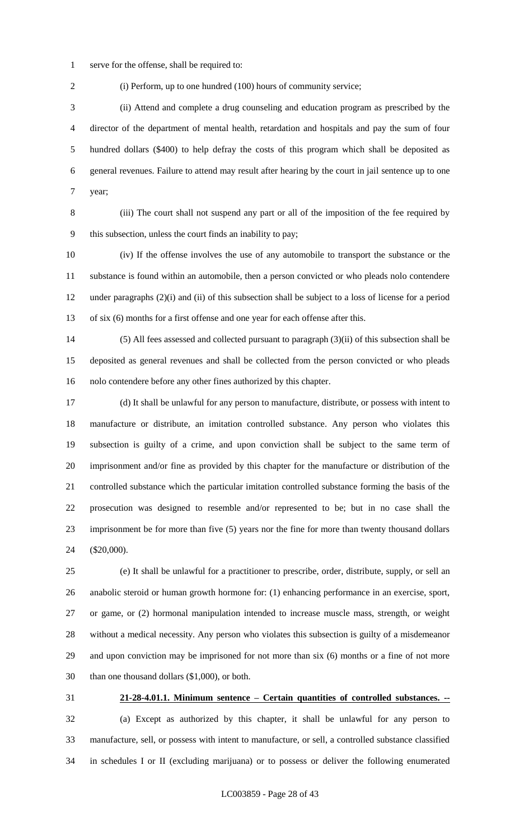serve for the offense, shall be required to:

(i) Perform, up to one hundred (100) hours of community service;

 (ii) Attend and complete a drug counseling and education program as prescribed by the director of the department of mental health, retardation and hospitals and pay the sum of four hundred dollars (\$400) to help defray the costs of this program which shall be deposited as general revenues. Failure to attend may result after hearing by the court in jail sentence up to one year;

 (iii) The court shall not suspend any part or all of the imposition of the fee required by this subsection, unless the court finds an inability to pay;

 (iv) If the offense involves the use of any automobile to transport the substance or the substance is found within an automobile, then a person convicted or who pleads nolo contendere under paragraphs (2)(i) and (ii) of this subsection shall be subject to a loss of license for a period of six (6) months for a first offense and one year for each offense after this.

 (5) All fees assessed and collected pursuant to paragraph (3)(ii) of this subsection shall be deposited as general revenues and shall be collected from the person convicted or who pleads nolo contendere before any other fines authorized by this chapter.

 (d) It shall be unlawful for any person to manufacture, distribute, or possess with intent to manufacture or distribute, an imitation controlled substance. Any person who violates this subsection is guilty of a crime, and upon conviction shall be subject to the same term of imprisonment and/or fine as provided by this chapter for the manufacture or distribution of the controlled substance which the particular imitation controlled substance forming the basis of the prosecution was designed to resemble and/or represented to be; but in no case shall the imprisonment be for more than five (5) years nor the fine for more than twenty thousand dollars (\$20,000).

 (e) It shall be unlawful for a practitioner to prescribe, order, distribute, supply, or sell an anabolic steroid or human growth hormone for: (1) enhancing performance in an exercise, sport, or game, or (2) hormonal manipulation intended to increase muscle mass, strength, or weight without a medical necessity. Any person who violates this subsection is guilty of a misdemeanor and upon conviction may be imprisoned for not more than six (6) months or a fine of not more than one thousand dollars (\$1,000), or both.

 **21-28-4.01.1. Minimum sentence – Certain quantities of controlled substances. --** (a) Except as authorized by this chapter, it shall be unlawful for any person to manufacture, sell, or possess with intent to manufacture, or sell, a controlled substance classified in schedules I or II (excluding marijuana) or to possess or deliver the following enumerated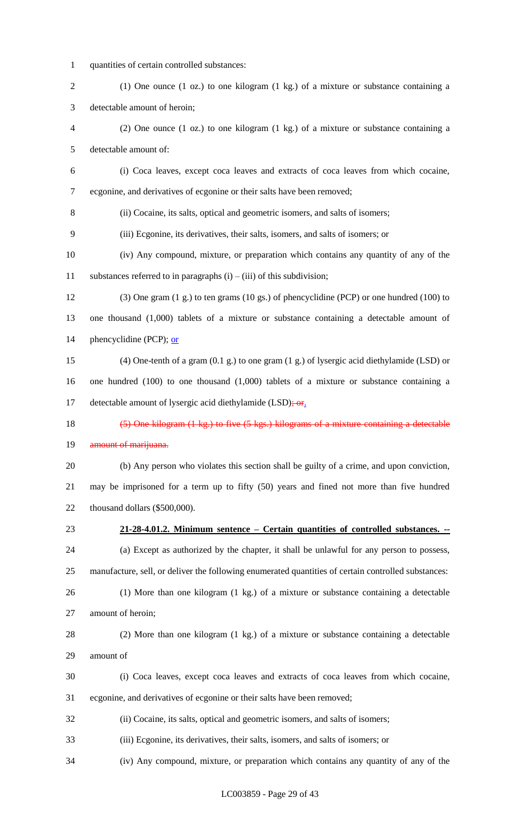quantities of certain controlled substances:

 (1) One ounce (1 oz.) to one kilogram (1 kg.) of a mixture or substance containing a detectable amount of heroin;

 (2) One ounce (1 oz.) to one kilogram (1 kg.) of a mixture or substance containing a detectable amount of:

 (i) Coca leaves, except coca leaves and extracts of coca leaves from which cocaine, ecgonine, and derivatives of ecgonine or their salts have been removed;

(ii) Cocaine, its salts, optical and geometric isomers, and salts of isomers;

- (iii) Ecgonine, its derivatives, their salts, isomers, and salts of isomers; or
- (iv) Any compound, mixture, or preparation which contains any quantity of any of the 11 substances referred to in paragraphs  $(i) - (iii)$  of this subdivision;

 (3) One gram (1 g.) to ten grams (10 gs.) of phencyclidine (PCP) or one hundred (100) to one thousand (1,000) tablets of a mixture or substance containing a detectable amount of 14 phencyclidine (PCP); or

- (4) One-tenth of a gram (0.1 g.) to one gram (1 g.) of lysergic acid diethylamide (LSD) or one hundred (100) to one thousand (1,000) tablets of a mixture or substance containing a 17 detectable amount of lysergic acid diethylamide (LSD); or.
- 

# (5) One kilogram (1 kg.) to five (5 kgs.) kilograms of a mixture containing a detectable

#### 19 amount of marijuana.

 (b) Any person who violates this section shall be guilty of a crime, and upon conviction, may be imprisoned for a term up to fifty (50) years and fined not more than five hundred thousand dollars (\$500,000).

#### **21-28-4.01.2. Minimum sentence – Certain quantities of controlled substances. --**

(a) Except as authorized by the chapter, it shall be unlawful for any person to possess,

manufacture, sell, or deliver the following enumerated quantities of certain controlled substances:

 (1) More than one kilogram (1 kg.) of a mixture or substance containing a detectable amount of heroin;

 (2) More than one kilogram (1 kg.) of a mixture or substance containing a detectable amount of

- (i) Coca leaves, except coca leaves and extracts of coca leaves from which cocaine, ecgonine, and derivatives of ecgonine or their salts have been removed;
- (ii) Cocaine, its salts, optical and geometric isomers, and salts of isomers;

(iii) Ecgonine, its derivatives, their salts, isomers, and salts of isomers; or

(iv) Any compound, mixture, or preparation which contains any quantity of any of the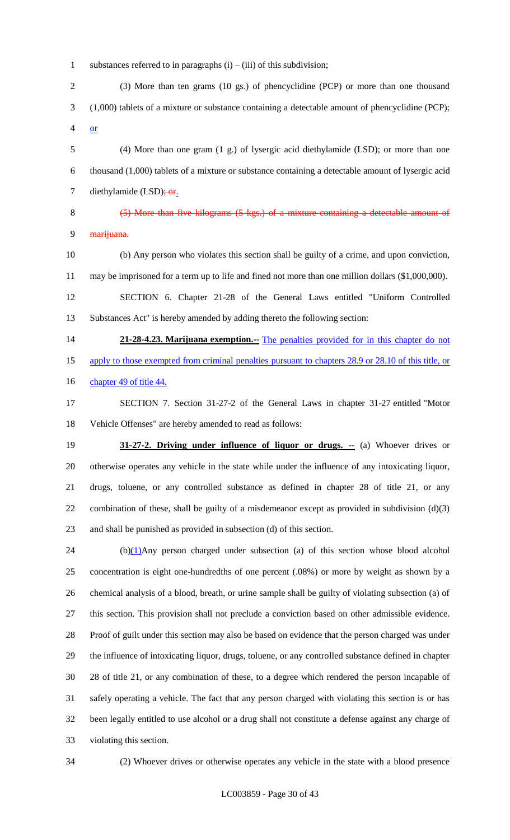1 substances referred to in paragraphs  $(i) - (iii)$  of this subdivision;

 (3) More than ten grams (10 gs.) of phencyclidine (PCP) or more than one thousand (1,000) tablets of a mixture or substance containing a detectable amount of phencyclidine (PCP); or

 (4) More than one gram (1 g.) of lysergic acid diethylamide (LSD); or more than one thousand (1,000) tablets of a mixture or substance containing a detectable amount of lysergic acid 7 diethylamide  $(LSD)$ ; or.

# (5) More than five kilograms (5 kgs.) of a mixture containing a detectable amount of 9 <del>marijuana.</del>

 (b) Any person who violates this section shall be guilty of a crime, and upon conviction, may be imprisoned for a term up to life and fined not more than one million dollars (\$1,000,000). SECTION 6. Chapter 21-28 of the General Laws entitled "Uniform Controlled Substances Act" is hereby amended by adding thereto the following section:

**21-28-4.23. Marijuana exemption.** The penalties provided for in this chapter do not apply to those exempted from criminal penalties pursuant to chapters 28.9 or 28.10 of this title, or 16 chapter 49 of title 44.

- SECTION 7. Section 31-27-2 of the General Laws in chapter 31-27 entitled "Motor Vehicle Offenses" are hereby amended to read as follows:
- **31-27-2. Driving under influence of liquor or drugs. --** (a) Whoever drives or otherwise operates any vehicle in the state while under the influence of any intoxicating liquor, drugs, toluene, or any controlled substance as defined in chapter 28 of title 21, or any 22 combination of these, shall be guilty of a misdemeanor except as provided in subdivision  $(d)(3)$ and shall be punished as provided in subsection (d) of this section.

 (b) $(1)$ Any person charged under subsection (a) of this section whose blood alcohol concentration is eight one-hundredths of one percent (.08%) or more by weight as shown by a chemical analysis of a blood, breath, or urine sample shall be guilty of violating subsection (a) of this section. This provision shall not preclude a conviction based on other admissible evidence. Proof of guilt under this section may also be based on evidence that the person charged was under the influence of intoxicating liquor, drugs, toluene, or any controlled substance defined in chapter 28 of title 21, or any combination of these, to a degree which rendered the person incapable of safely operating a vehicle. The fact that any person charged with violating this section is or has been legally entitled to use alcohol or a drug shall not constitute a defense against any charge of violating this section.

(2) Whoever drives or otherwise operates any vehicle in the state with a blood presence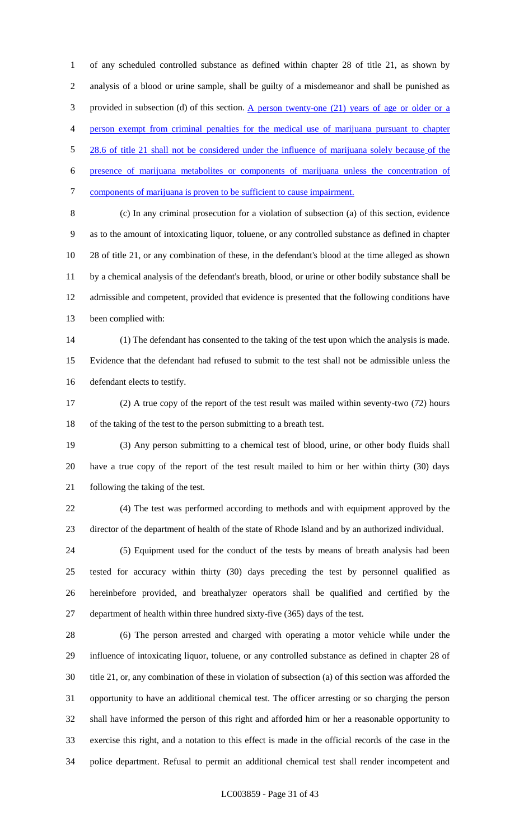of any scheduled controlled substance as defined within chapter 28 of title 21, as shown by analysis of a blood or urine sample, shall be guilty of a misdemeanor and shall be punished as provided in subsection (d) of this section. A person twenty-one (21) years of age or older or a person exempt from criminal penalties for the medical use of marijuana pursuant to chapter 5 28.6 of title 21 shall not be considered under the influence of marijuana solely because of the presence of marijuana metabolites or components of marijuana unless the concentration of components of marijuana is proven to be sufficient to cause impairment.

 (c) In any criminal prosecution for a violation of subsection (a) of this section, evidence as to the amount of intoxicating liquor, toluene, or any controlled substance as defined in chapter 28 of title 21, or any combination of these, in the defendant's blood at the time alleged as shown by a chemical analysis of the defendant's breath, blood, or urine or other bodily substance shall be admissible and competent, provided that evidence is presented that the following conditions have been complied with:

 (1) The defendant has consented to the taking of the test upon which the analysis is made. Evidence that the defendant had refused to submit to the test shall not be admissible unless the defendant elects to testify.

 (2) A true copy of the report of the test result was mailed within seventy-two (72) hours of the taking of the test to the person submitting to a breath test.

 (3) Any person submitting to a chemical test of blood, urine, or other body fluids shall have a true copy of the report of the test result mailed to him or her within thirty (30) days following the taking of the test.

 (4) The test was performed according to methods and with equipment approved by the director of the department of health of the state of Rhode Island and by an authorized individual.

 (5) Equipment used for the conduct of the tests by means of breath analysis had been tested for accuracy within thirty (30) days preceding the test by personnel qualified as hereinbefore provided, and breathalyzer operators shall be qualified and certified by the department of health within three hundred sixty-five (365) days of the test.

 (6) The person arrested and charged with operating a motor vehicle while under the influence of intoxicating liquor, toluene, or any controlled substance as defined in chapter 28 of title 21, or, any combination of these in violation of subsection (a) of this section was afforded the opportunity to have an additional chemical test. The officer arresting or so charging the person shall have informed the person of this right and afforded him or her a reasonable opportunity to exercise this right, and a notation to this effect is made in the official records of the case in the police department. Refusal to permit an additional chemical test shall render incompetent and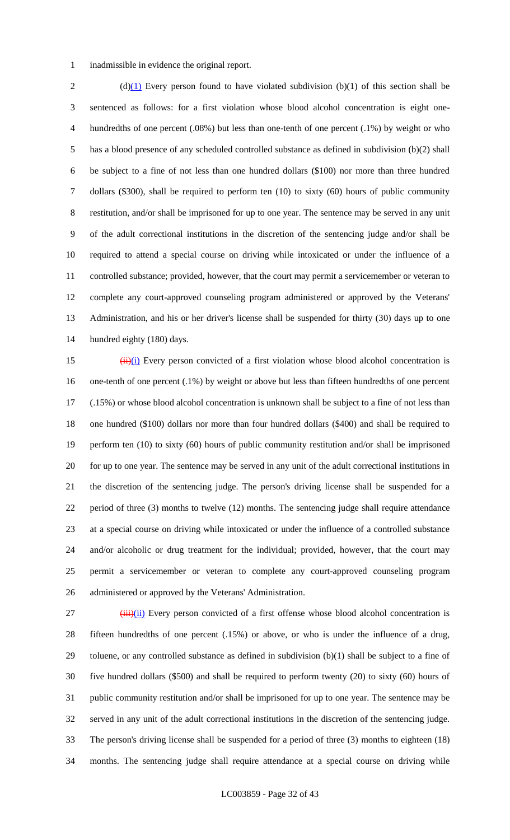inadmissible in evidence the original report.

2 (d)(1) Every person found to have violated subdivision (b)(1) of this section shall be sentenced as follows: for a first violation whose blood alcohol concentration is eight one- hundredths of one percent (.08%) but less than one-tenth of one percent (.1%) by weight or who has a blood presence of any scheduled controlled substance as defined in subdivision (b)(2) shall be subject to a fine of not less than one hundred dollars (\$100) nor more than three hundred dollars (\$300), shall be required to perform ten (10) to sixty (60) hours of public community restitution, and/or shall be imprisoned for up to one year. The sentence may be served in any unit of the adult correctional institutions in the discretion of the sentencing judge and/or shall be required to attend a special course on driving while intoxicated or under the influence of a 11 controlled substance; provided, however, that the court may permit a servicemember or veteran to complete any court-approved counseling program administered or approved by the Veterans' Administration, and his or her driver's license shall be suspended for thirty (30) days up to one hundred eighty (180) days.

 $(i)$  (ii)(i) Every person convicted of a first violation whose blood alcohol concentration is one-tenth of one percent (.1%) by weight or above but less than fifteen hundredths of one percent (.15%) or whose blood alcohol concentration is unknown shall be subject to a fine of not less than one hundred (\$100) dollars nor more than four hundred dollars (\$400) and shall be required to perform ten (10) to sixty (60) hours of public community restitution and/or shall be imprisoned for up to one year. The sentence may be served in any unit of the adult correctional institutions in the discretion of the sentencing judge. The person's driving license shall be suspended for a 22 period of three (3) months to twelve (12) months. The sentencing judge shall require attendance at a special course on driving while intoxicated or under the influence of a controlled substance and/or alcoholic or drug treatment for the individual; provided, however, that the court may permit a servicemember or veteran to complete any court-approved counseling program administered or approved by the Veterans' Administration.

  $(iii)(ii)$  Every person convicted of a first offense whose blood alcohol concentration is fifteen hundredths of one percent (.15%) or above, or who is under the influence of a drug, toluene, or any controlled substance as defined in subdivision (b)(1) shall be subject to a fine of five hundred dollars (\$500) and shall be required to perform twenty (20) to sixty (60) hours of public community restitution and/or shall be imprisoned for up to one year. The sentence may be served in any unit of the adult correctional institutions in the discretion of the sentencing judge. The person's driving license shall be suspended for a period of three (3) months to eighteen (18) months. The sentencing judge shall require attendance at a special course on driving while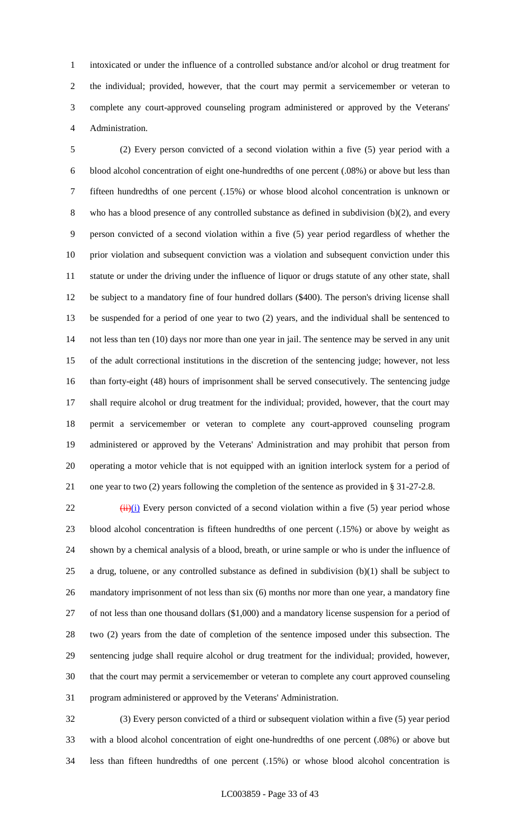intoxicated or under the influence of a controlled substance and/or alcohol or drug treatment for the individual; provided, however, that the court may permit a servicemember or veteran to complete any court-approved counseling program administered or approved by the Veterans' Administration.

 (2) Every person convicted of a second violation within a five (5) year period with a blood alcohol concentration of eight one-hundredths of one percent (.08%) or above but less than fifteen hundredths of one percent (.15%) or whose blood alcohol concentration is unknown or who has a blood presence of any controlled substance as defined in subdivision (b)(2), and every person convicted of a second violation within a five (5) year period regardless of whether the prior violation and subsequent conviction was a violation and subsequent conviction under this statute or under the driving under the influence of liquor or drugs statute of any other state, shall be subject to a mandatory fine of four hundred dollars (\$400). The person's driving license shall be suspended for a period of one year to two (2) years, and the individual shall be sentenced to not less than ten (10) days nor more than one year in jail. The sentence may be served in any unit of the adult correctional institutions in the discretion of the sentencing judge; however, not less than forty-eight (48) hours of imprisonment shall be served consecutively. The sentencing judge shall require alcohol or drug treatment for the individual; provided, however, that the court may permit a servicemember or veteran to complete any court-approved counseling program administered or approved by the Veterans' Administration and may prohibit that person from operating a motor vehicle that is not equipped with an ignition interlock system for a period of one year to two (2) years following the completion of the sentence as provided in § 31-27-2.8.

 (ii)(i) Every person convicted of a second violation within a five (5) year period whose blood alcohol concentration is fifteen hundredths of one percent (.15%) or above by weight as shown by a chemical analysis of a blood, breath, or urine sample or who is under the influence of 25 a drug, toluene, or any controlled substance as defined in subdivision  $(b)(1)$  shall be subject to mandatory imprisonment of not less than six (6) months nor more than one year, a mandatory fine of not less than one thousand dollars (\$1,000) and a mandatory license suspension for a period of two (2) years from the date of completion of the sentence imposed under this subsection. The sentencing judge shall require alcohol or drug treatment for the individual; provided, however, that the court may permit a servicemember or veteran to complete any court approved counseling program administered or approved by the Veterans' Administration.

 (3) Every person convicted of a third or subsequent violation within a five (5) year period with a blood alcohol concentration of eight one-hundredths of one percent (.08%) or above but less than fifteen hundredths of one percent (.15%) or whose blood alcohol concentration is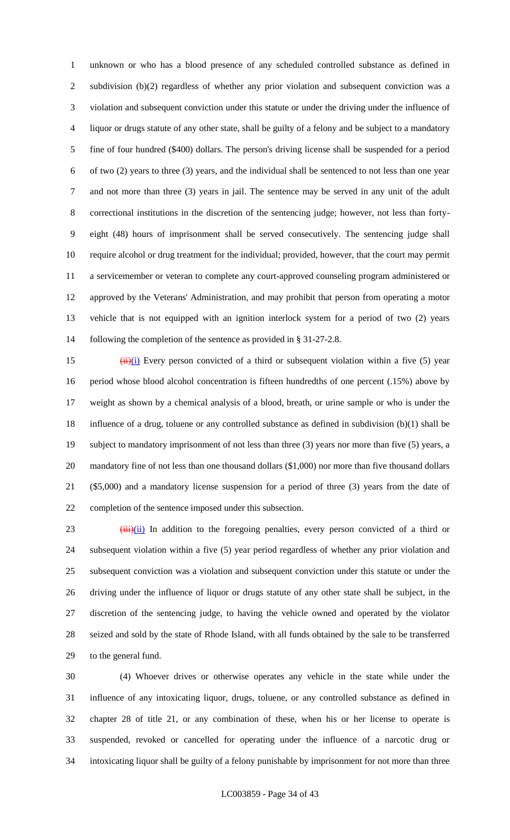unknown or who has a blood presence of any scheduled controlled substance as defined in subdivision (b)(2) regardless of whether any prior violation and subsequent conviction was a violation and subsequent conviction under this statute or under the driving under the influence of liquor or drugs statute of any other state, shall be guilty of a felony and be subject to a mandatory fine of four hundred (\$400) dollars. The person's driving license shall be suspended for a period of two (2) years to three (3) years, and the individual shall be sentenced to not less than one year and not more than three (3) years in jail. The sentence may be served in any unit of the adult correctional institutions in the discretion of the sentencing judge; however, not less than forty- eight (48) hours of imprisonment shall be served consecutively. The sentencing judge shall require alcohol or drug treatment for the individual; provided, however, that the court may permit a servicemember or veteran to complete any court-approved counseling program administered or approved by the Veterans' Administration, and may prohibit that person from operating a motor vehicle that is not equipped with an ignition interlock system for a period of two (2) years following the completion of the sentence as provided in § 31-27-2.8.

 $(i)$  (ii)(i) Every person convicted of a third or subsequent violation within a five (5) year period whose blood alcohol concentration is fifteen hundredths of one percent (.15%) above by weight as shown by a chemical analysis of a blood, breath, or urine sample or who is under the influence of a drug, toluene or any controlled substance as defined in subdivision (b)(1) shall be subject to mandatory imprisonment of not less than three (3) years nor more than five (5) years, a mandatory fine of not less than one thousand dollars (\$1,000) nor more than five thousand dollars (\$5,000) and a mandatory license suspension for a period of three (3) years from the date of completion of the sentence imposed under this subsection.

 (iii) In addition to the foregoing penalties, every person convicted of a third or subsequent violation within a five (5) year period regardless of whether any prior violation and subsequent conviction was a violation and subsequent conviction under this statute or under the driving under the influence of liquor or drugs statute of any other state shall be subject, in the discretion of the sentencing judge, to having the vehicle owned and operated by the violator seized and sold by the state of Rhode Island, with all funds obtained by the sale to be transferred to the general fund.

 (4) Whoever drives or otherwise operates any vehicle in the state while under the influence of any intoxicating liquor, drugs, toluene, or any controlled substance as defined in chapter 28 of title 21, or any combination of these, when his or her license to operate is suspended, revoked or cancelled for operating under the influence of a narcotic drug or intoxicating liquor shall be guilty of a felony punishable by imprisonment for not more than three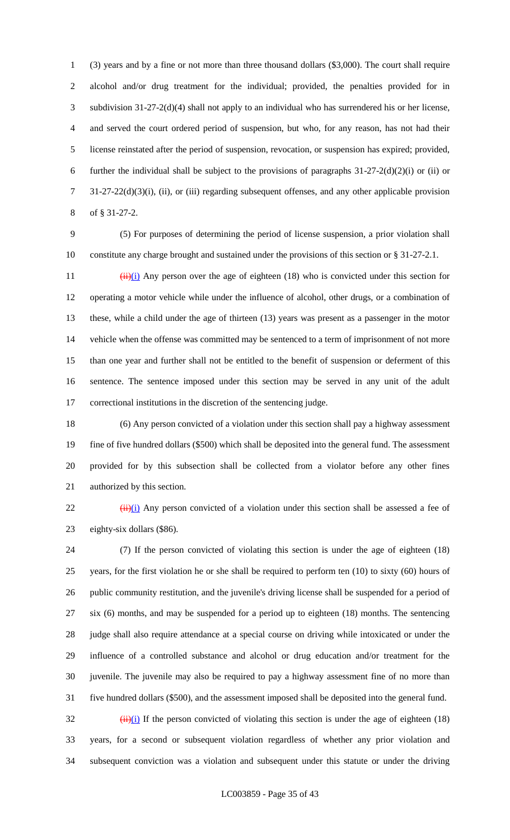(3) years and by a fine or not more than three thousand dollars (\$3,000). The court shall require alcohol and/or drug treatment for the individual; provided, the penalties provided for in subdivision 31-27-2(d)(4) shall not apply to an individual who has surrendered his or her license, and served the court ordered period of suspension, but who, for any reason, has not had their license reinstated after the period of suspension, revocation, or suspension has expired; provided, 6 further the individual shall be subject to the provisions of paragraphs  $31-27-2(d)(2)(i)$  or (ii) or 31-27-22(d)(3)(i), (ii), or (iii) regarding subsequent offenses, and any other applicable provision of § 31-27-2.

 (5) For purposes of determining the period of license suspension, a prior violation shall constitute any charge brought and sustained under the provisions of this section or § 31-27-2.1.

 $(iii)(i)$  Any person over the age of eighteen (18) who is convicted under this section for operating a motor vehicle while under the influence of alcohol, other drugs, or a combination of these, while a child under the age of thirteen (13) years was present as a passenger in the motor vehicle when the offense was committed may be sentenced to a term of imprisonment of not more than one year and further shall not be entitled to the benefit of suspension or deferment of this sentence. The sentence imposed under this section may be served in any unit of the adult correctional institutions in the discretion of the sentencing judge.

 (6) Any person convicted of a violation under this section shall pay a highway assessment fine of five hundred dollars (\$500) which shall be deposited into the general fund. The assessment provided for by this subsection shall be collected from a violator before any other fines authorized by this section.

 $\frac{1}{2}$  (ii)(i) Any person convicted of a violation under this section shall be assessed a fee of eighty-six dollars (\$86).

 (7) If the person convicted of violating this section is under the age of eighteen (18) years, for the first violation he or she shall be required to perform ten (10) to sixty (60) hours of public community restitution, and the juvenile's driving license shall be suspended for a period of six (6) months, and may be suspended for a period up to eighteen (18) months. The sentencing judge shall also require attendance at a special course on driving while intoxicated or under the influence of a controlled substance and alcohol or drug education and/or treatment for the juvenile. The juvenile may also be required to pay a highway assessment fine of no more than five hundred dollars (\$500), and the assessment imposed shall be deposited into the general fund.  $\frac{32}{10}$  (ii)(i) If the person convicted of violating this section is under the age of eighteen (18) years, for a second or subsequent violation regardless of whether any prior violation and

subsequent conviction was a violation and subsequent under this statute or under the driving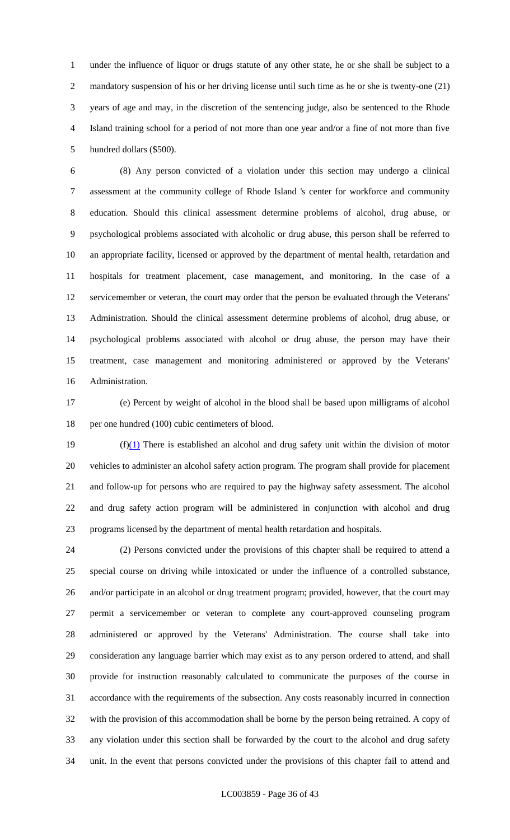under the influence of liquor or drugs statute of any other state, he or she shall be subject to a mandatory suspension of his or her driving license until such time as he or she is twenty-one (21) years of age and may, in the discretion of the sentencing judge, also be sentenced to the Rhode Island training school for a period of not more than one year and/or a fine of not more than five hundred dollars (\$500).

 (8) Any person convicted of a violation under this section may undergo a clinical assessment at the community college of Rhode Island 's center for workforce and community education. Should this clinical assessment determine problems of alcohol, drug abuse, or psychological problems associated with alcoholic or drug abuse, this person shall be referred to an appropriate facility, licensed or approved by the department of mental health, retardation and hospitals for treatment placement, case management, and monitoring. In the case of a servicemember or veteran, the court may order that the person be evaluated through the Veterans' Administration. Should the clinical assessment determine problems of alcohol, drug abuse, or psychological problems associated with alcohol or drug abuse, the person may have their treatment, case management and monitoring administered or approved by the Veterans' Administration.

 (e) Percent by weight of alcohol in the blood shall be based upon milligrams of alcohol 18 per one hundred (100) cubic centimeters of blood.

 $(f)(1)$  There is established an alcohol and drug safety unit within the division of motor vehicles to administer an alcohol safety action program. The program shall provide for placement and follow-up for persons who are required to pay the highway safety assessment. The alcohol and drug safety action program will be administered in conjunction with alcohol and drug programs licensed by the department of mental health retardation and hospitals.

 (2) Persons convicted under the provisions of this chapter shall be required to attend a special course on driving while intoxicated or under the influence of a controlled substance, and/or participate in an alcohol or drug treatment program; provided, however, that the court may permit a servicemember or veteran to complete any court-approved counseling program administered or approved by the Veterans' Administration. The course shall take into consideration any language barrier which may exist as to any person ordered to attend, and shall provide for instruction reasonably calculated to communicate the purposes of the course in accordance with the requirements of the subsection. Any costs reasonably incurred in connection with the provision of this accommodation shall be borne by the person being retrained. A copy of any violation under this section shall be forwarded by the court to the alcohol and drug safety unit. In the event that persons convicted under the provisions of this chapter fail to attend and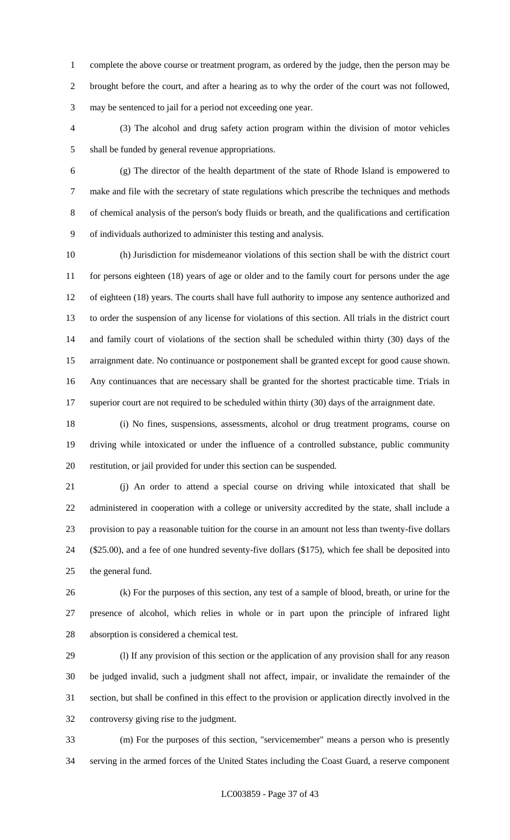complete the above course or treatment program, as ordered by the judge, then the person may be brought before the court, and after a hearing as to why the order of the court was not followed, may be sentenced to jail for a period not exceeding one year.

 (3) The alcohol and drug safety action program within the division of motor vehicles shall be funded by general revenue appropriations.

 (g) The director of the health department of the state of Rhode Island is empowered to make and file with the secretary of state regulations which prescribe the techniques and methods of chemical analysis of the person's body fluids or breath, and the qualifications and certification of individuals authorized to administer this testing and analysis.

 (h) Jurisdiction for misdemeanor violations of this section shall be with the district court for persons eighteen (18) years of age or older and to the family court for persons under the age of eighteen (18) years. The courts shall have full authority to impose any sentence authorized and to order the suspension of any license for violations of this section. All trials in the district court and family court of violations of the section shall be scheduled within thirty (30) days of the arraignment date. No continuance or postponement shall be granted except for good cause shown. Any continuances that are necessary shall be granted for the shortest practicable time. Trials in 17 superior court are not required to be scheduled within thirty (30) days of the arraignment date.

 (i) No fines, suspensions, assessments, alcohol or drug treatment programs, course on driving while intoxicated or under the influence of a controlled substance, public community restitution, or jail provided for under this section can be suspended.

 (j) An order to attend a special course on driving while intoxicated that shall be administered in cooperation with a college or university accredited by the state, shall include a provision to pay a reasonable tuition for the course in an amount not less than twenty-five dollars (\$25.00), and a fee of one hundred seventy-five dollars (\$175), which fee shall be deposited into the general fund.

 (k) For the purposes of this section, any test of a sample of blood, breath, or urine for the presence of alcohol, which relies in whole or in part upon the principle of infrared light absorption is considered a chemical test.

 (l) If any provision of this section or the application of any provision shall for any reason be judged invalid, such a judgment shall not affect, impair, or invalidate the remainder of the section, but shall be confined in this effect to the provision or application directly involved in the controversy giving rise to the judgment.

 (m) For the purposes of this section, "servicemember" means a person who is presently serving in the armed forces of the United States including the Coast Guard, a reserve component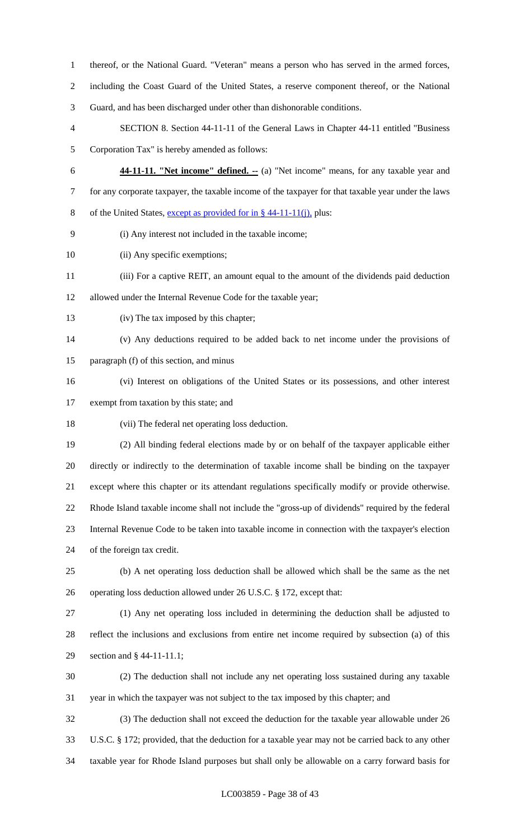- thereof, or the National Guard. "Veteran" means a person who has served in the armed forces,
- including the Coast Guard of the United States, a reserve component thereof, or the National
- Guard, and has been discharged under other than dishonorable conditions.
- SECTION 8. Section 44-11-11 of the General Laws in Chapter 44-11 entitled "Business Corporation Tax" is hereby amended as follows:
- 
- **44-11-11. "Net income" defined. --** (a) "Net income" means, for any taxable year and for any corporate taxpayer, the taxable income of the taxpayer for that taxable year under the laws of the United States, except as provided for in § 44-11-11(j), plus:
	- (i) Any interest not included in the taxable income;
- 10 (ii) Any specific exemptions;
- (iii) For a captive REIT, an amount equal to the amount of the dividends paid deduction
- allowed under the Internal Revenue Code for the taxable year;
- (iv) The tax imposed by this chapter;
- (v) Any deductions required to be added back to net income under the provisions of paragraph (f) of this section, and minus
- (vi) Interest on obligations of the United States or its possessions, and other interest
- exempt from taxation by this state; and
- (vii) The federal net operating loss deduction.
- (2) All binding federal elections made by or on behalf of the taxpayer applicable either directly or indirectly to the determination of taxable income shall be binding on the taxpayer except where this chapter or its attendant regulations specifically modify or provide otherwise. Rhode Island taxable income shall not include the "gross-up of dividends" required by the federal Internal Revenue Code to be taken into taxable income in connection with the taxpayer's election of the foreign tax credit.
- (b) A net operating loss deduction shall be allowed which shall be the same as the net operating loss deduction allowed under 26 U.S.C. § 172, except that:
- (1) Any net operating loss included in determining the deduction shall be adjusted to reflect the inclusions and exclusions from entire net income required by subsection (a) of this section and § 44-11-11.1;
- (2) The deduction shall not include any net operating loss sustained during any taxable year in which the taxpayer was not subject to the tax imposed by this chapter; and
- (3) The deduction shall not exceed the deduction for the taxable year allowable under 26 U.S.C. § 172; provided, that the deduction for a taxable year may not be carried back to any other taxable year for Rhode Island purposes but shall only be allowable on a carry forward basis for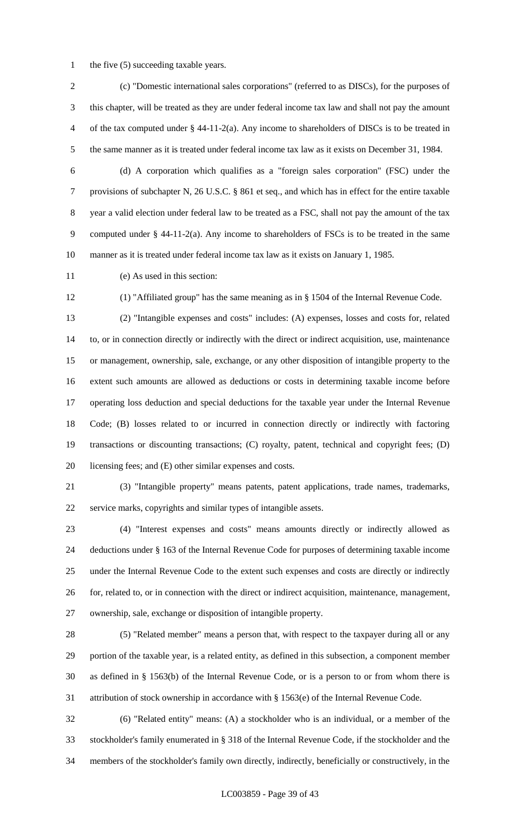1 the five (5) succeeding taxable years.

 (c) "Domestic international sales corporations" (referred to as DISCs), for the purposes of this chapter, will be treated as they are under federal income tax law and shall not pay the amount of the tax computed under § 44-11-2(a). Any income to shareholders of DISCs is to be treated in the same manner as it is treated under federal income tax law as it exists on December 31, 1984.

 (d) A corporation which qualifies as a "foreign sales corporation" (FSC) under the provisions of subchapter N, 26 U.S.C. § 861 et seq., and which has in effect for the entire taxable year a valid election under federal law to be treated as a FSC, shall not pay the amount of the tax computed under § 44-11-2(a). Any income to shareholders of FSCs is to be treated in the same manner as it is treated under federal income tax law as it exists on January 1, 1985.

(e) As used in this section:

(1) "Affiliated group" has the same meaning as in § 1504 of the Internal Revenue Code.

 (2) "Intangible expenses and costs" includes: (A) expenses, losses and costs for, related to, or in connection directly or indirectly with the direct or indirect acquisition, use, maintenance or management, ownership, sale, exchange, or any other disposition of intangible property to the extent such amounts are allowed as deductions or costs in determining taxable income before operating loss deduction and special deductions for the taxable year under the Internal Revenue Code; (B) losses related to or incurred in connection directly or indirectly with factoring transactions or discounting transactions; (C) royalty, patent, technical and copyright fees; (D) licensing fees; and (E) other similar expenses and costs.

 (3) "Intangible property" means patents, patent applications, trade names, trademarks, service marks, copyrights and similar types of intangible assets.

 (4) "Interest expenses and costs" means amounts directly or indirectly allowed as deductions under § 163 of the Internal Revenue Code for purposes of determining taxable income under the Internal Revenue Code to the extent such expenses and costs are directly or indirectly for, related to, or in connection with the direct or indirect acquisition, maintenance, management, ownership, sale, exchange or disposition of intangible property.

 (5) "Related member" means a person that, with respect to the taxpayer during all or any portion of the taxable year, is a related entity, as defined in this subsection, a component member as defined in § 1563(b) of the Internal Revenue Code, or is a person to or from whom there is attribution of stock ownership in accordance with § 1563(e) of the Internal Revenue Code.

 (6) "Related entity" means: (A) a stockholder who is an individual, or a member of the stockholder's family enumerated in § 318 of the Internal Revenue Code, if the stockholder and the members of the stockholder's family own directly, indirectly, beneficially or constructively, in the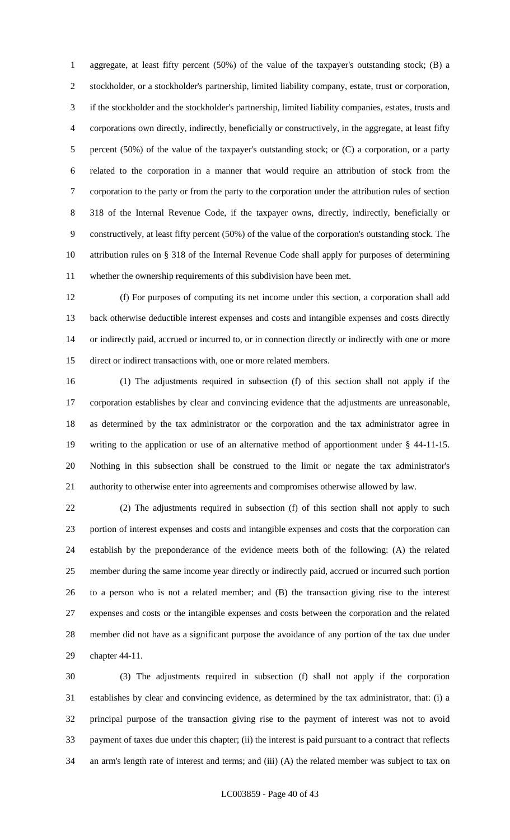aggregate, at least fifty percent (50%) of the value of the taxpayer's outstanding stock; (B) a stockholder, or a stockholder's partnership, limited liability company, estate, trust or corporation, if the stockholder and the stockholder's partnership, limited liability companies, estates, trusts and corporations own directly, indirectly, beneficially or constructively, in the aggregate, at least fifty percent (50%) of the value of the taxpayer's outstanding stock; or (C) a corporation, or a party related to the corporation in a manner that would require an attribution of stock from the corporation to the party or from the party to the corporation under the attribution rules of section 318 of the Internal Revenue Code, if the taxpayer owns, directly, indirectly, beneficially or constructively, at least fifty percent (50%) of the value of the corporation's outstanding stock. The attribution rules on § 318 of the Internal Revenue Code shall apply for purposes of determining whether the ownership requirements of this subdivision have been met.

 (f) For purposes of computing its net income under this section, a corporation shall add back otherwise deductible interest expenses and costs and intangible expenses and costs directly or indirectly paid, accrued or incurred to, or in connection directly or indirectly with one or more direct or indirect transactions with, one or more related members.

 (1) The adjustments required in subsection (f) of this section shall not apply if the corporation establishes by clear and convincing evidence that the adjustments are unreasonable, as determined by the tax administrator or the corporation and the tax administrator agree in writing to the application or use of an alternative method of apportionment under § 44-11-15. Nothing in this subsection shall be construed to the limit or negate the tax administrator's authority to otherwise enter into agreements and compromises otherwise allowed by law.

 (2) The adjustments required in subsection (f) of this section shall not apply to such portion of interest expenses and costs and intangible expenses and costs that the corporation can establish by the preponderance of the evidence meets both of the following: (A) the related member during the same income year directly or indirectly paid, accrued or incurred such portion to a person who is not a related member; and (B) the transaction giving rise to the interest expenses and costs or the intangible expenses and costs between the corporation and the related member did not have as a significant purpose the avoidance of any portion of the tax due under chapter 44-11.

 (3) The adjustments required in subsection (f) shall not apply if the corporation establishes by clear and convincing evidence, as determined by the tax administrator, that: (i) a principal purpose of the transaction giving rise to the payment of interest was not to avoid payment of taxes due under this chapter; (ii) the interest is paid pursuant to a contract that reflects an arm's length rate of interest and terms; and (iii) (A) the related member was subject to tax on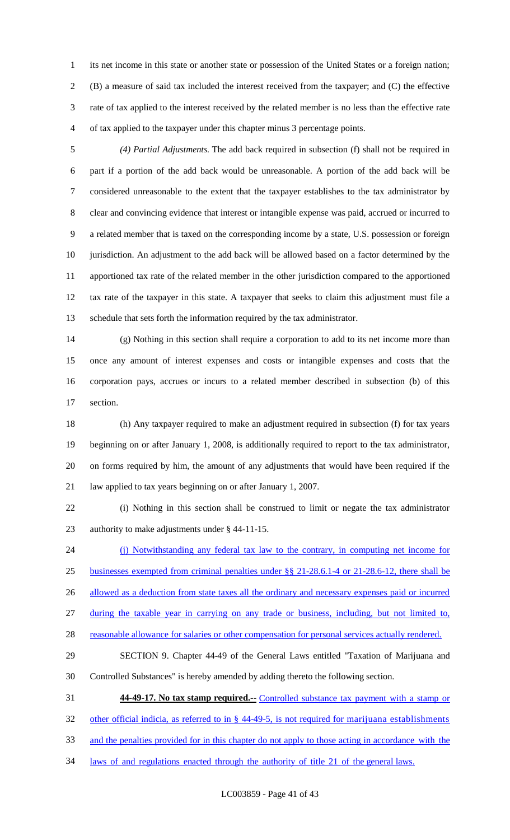its net income in this state or another state or possession of the United States or a foreign nation; (B) a measure of said tax included the interest received from the taxpayer; and (C) the effective rate of tax applied to the interest received by the related member is no less than the effective rate of tax applied to the taxpayer under this chapter minus 3 percentage points.

 *(4) Partial Adjustments.* The add back required in subsection (f) shall not be required in part if a portion of the add back would be unreasonable. A portion of the add back will be considered unreasonable to the extent that the taxpayer establishes to the tax administrator by clear and convincing evidence that interest or intangible expense was paid, accrued or incurred to a related member that is taxed on the corresponding income by a state, U.S. possession or foreign jurisdiction. An adjustment to the add back will be allowed based on a factor determined by the apportioned tax rate of the related member in the other jurisdiction compared to the apportioned tax rate of the taxpayer in this state. A taxpayer that seeks to claim this adjustment must file a schedule that sets forth the information required by the tax administrator.

 (g) Nothing in this section shall require a corporation to add to its net income more than once any amount of interest expenses and costs or intangible expenses and costs that the corporation pays, accrues or incurs to a related member described in subsection (b) of this section.

 (h) Any taxpayer required to make an adjustment required in subsection (f) for tax years beginning on or after January 1, 2008, is additionally required to report to the tax administrator, on forms required by him, the amount of any adjustments that would have been required if the law applied to tax years beginning on or after January 1, 2007.

 (i) Nothing in this section shall be construed to limit or negate the tax administrator authority to make adjustments under § 44-11-15.

(j) Notwithstanding any federal tax law to the contrary, in computing net income for

businesses exempted from criminal penalties under §§ 21-28.6.1-4 or 21-28.6-12, there shall be

26 allowed as a deduction from state taxes all the ordinary and necessary expenses paid or incurred

during the taxable year in carrying on any trade or business, including, but not limited to,

28 reasonable allowance for salaries or other compensation for personal services actually rendered.

 SECTION 9. Chapter 44-49 of the General Laws entitled "Taxation of Marijuana and Controlled Substances" is hereby amended by adding thereto the following section.

**44-49-17. No tax stamp required.--** Controlled substance tax payment with a stamp or

other official indicia, as referred to in § 44-49-5, is not required for marijuana establishments

and the penalties provided for in this chapter do not apply to those acting in accordance with the

laws of and regulations enacted through the authority of title 21 of the general laws.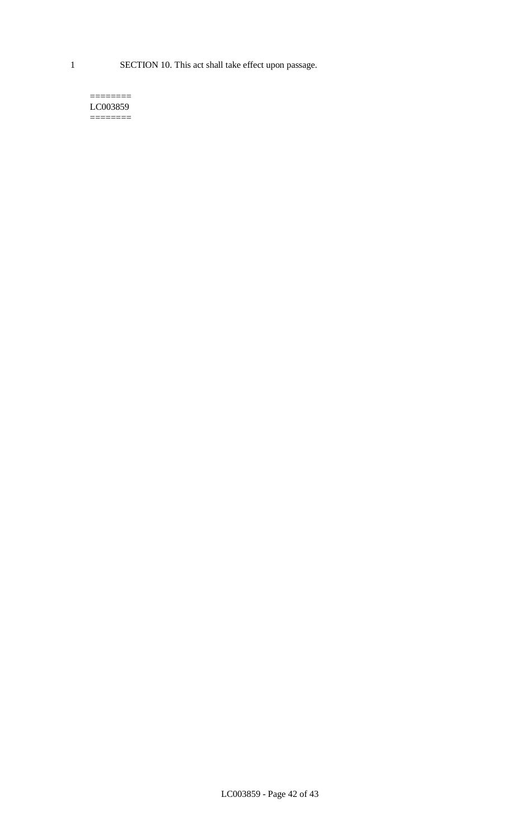1 SECTION 10. This act shall take effect upon passage.

#### $=$ LC003859 ========